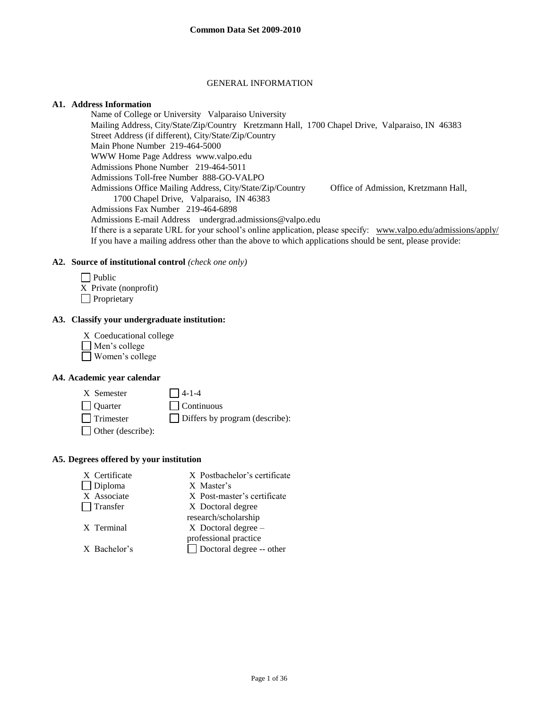#### GENERAL INFORMATION

#### **A1. Address Information**

Name of College or University Valparaiso University Mailing Address, City/State/Zip/Country Kretzmann Hall, 1700 Chapel Drive, Valparaiso, IN 46383 Street Address (if different), City/State/Zip/Country Main Phone Number 219-464-5000 WWW Home Page Address www.valpo.edu Admissions Phone Number 219-464-5011 Admissions Toll-free Number 888-GO-VALPO Admissions Office Mailing Address, City/State/Zip/Country Office of Admission, Kretzmann Hall, 1700 Chapel Drive, Valparaiso, IN 46383 Admissions Fax Number 219-464-6898 Admissions E-mail Address undergrad.admissions@valpo.edu If there is a separate URL for your school's online application, please specify: [www.valpo.edu/admissions/apply/](http://www.valpo.edu/admissions/apply/)  If you have a mailing address other than the above to which applications should be sent, please provide:

#### **A2. Source of institutional control** *(check one only)*

| Public                |
|-----------------------|
| X Private (nonprofit) |
| Proprietary           |

#### **A3. Classify your undergraduate institution:**

- X Coeducational college
- Men's college
- Women's college

#### **A4. Academic year calendar**

 $X$  Semester  $\Box$  4-1-4  $\Box$  Ouarter  $\Box$  Continuous Trimester Differs by program (describe): Other (describe):

#### **A5. Degrees offered by your institution**

X Certificate X Postbachelor's certificate Diploma X Master's X Associate X Post-master's certificate Transfer X Doctoral degree research/scholarship X Terminal X Doctoral degree – professional practice X Bachelor's Doctoral degree -- other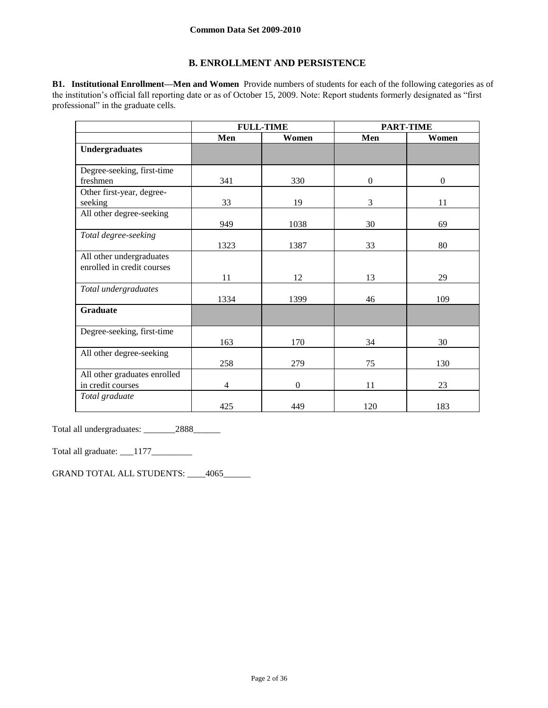## **B. ENROLLMENT AND PERSISTENCE**

**B1. Institutional Enrollment—Men and Women** Provide numbers of students for each of the following categories as of the institution's official fall reporting date or as of October 15, 2009. Note: Report students formerly designated as "first professional" in the graduate cells.

|                              | <b>FULL-TIME</b> |              |                  | <b>PART-TIME</b> |
|------------------------------|------------------|--------------|------------------|------------------|
|                              | Men              | Women        | Men              | Women            |
| <b>Undergraduates</b>        |                  |              |                  |                  |
|                              |                  |              |                  |                  |
| Degree-seeking, first-time   |                  |              |                  |                  |
| freshmen                     | 341              | 330          | $\boldsymbol{0}$ | $\boldsymbol{0}$ |
| Other first-year, degree-    |                  |              |                  |                  |
| seeking                      | 33               | 19           | 3                | 11               |
| All other degree-seeking     |                  |              |                  |                  |
|                              | 949              | 1038         | 30               | 69               |
| Total degree-seeking         |                  |              |                  |                  |
|                              | 1323             | 1387         | 33               | 80               |
| All other undergraduates     |                  |              |                  |                  |
| enrolled in credit courses   |                  |              |                  |                  |
|                              | 11               | 12           | 13               | 29               |
| Total undergraduates         |                  |              |                  |                  |
|                              | 1334             | 1399         | 46               | 109              |
| <b>Graduate</b>              |                  |              |                  |                  |
|                              |                  |              |                  |                  |
| Degree-seeking, first-time   |                  |              |                  |                  |
|                              | 163              | 170          | 34               | 30               |
| All other degree-seeking     |                  |              |                  |                  |
|                              | 258              | 279          | 75               | 130              |
| All other graduates enrolled |                  |              |                  |                  |
| in credit courses            | 4                | $\mathbf{0}$ | 11               | 23               |
| Total graduate               |                  |              |                  |                  |
|                              | 425              | 449          | 120              | 183              |

Total all undergraduates: \_\_\_\_\_\_\_2888\_\_\_\_\_\_

Total all graduate: \_\_\_1177\_\_\_\_\_\_\_\_\_

GRAND TOTAL ALL STUDENTS: \_\_\_\_4065\_\_\_\_\_\_\_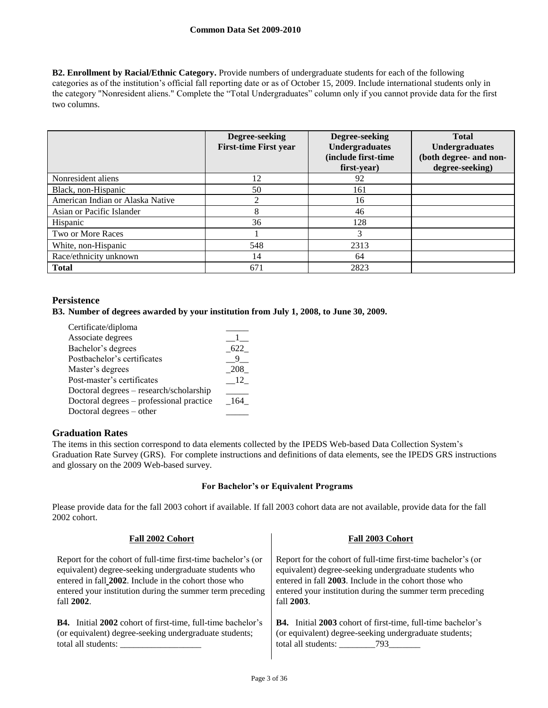**B2. Enrollment by Racial/Ethnic Category.** Provide numbers of undergraduate students for each of the following categories as of the institution's official fall reporting date or as of October 15, 2009. Include international students only in the category "Nonresident aliens." Complete the "Total Undergraduates" column only if you cannot provide data for the first two columns.

|                                  | Degree-seeking<br><b>First-time First year</b> | Degree-seeking<br><b>Undergraduates</b><br>(include first-time<br>first-year) | <b>Total</b><br><b>Undergraduates</b><br>(both degree- and non-<br>degree-seeking) |
|----------------------------------|------------------------------------------------|-------------------------------------------------------------------------------|------------------------------------------------------------------------------------|
| Nonresident aliens               | 12                                             | 92                                                                            |                                                                                    |
| Black, non-Hispanic              | 50                                             | 161                                                                           |                                                                                    |
| American Indian or Alaska Native | ◠                                              | 16                                                                            |                                                                                    |
| Asian or Pacific Islander        | 8                                              | 46                                                                            |                                                                                    |
| Hispanic                         | 36                                             | 128                                                                           |                                                                                    |
| Two or More Races                |                                                | 3                                                                             |                                                                                    |
| White, non-Hispanic              | 548                                            | 2313                                                                          |                                                                                    |
| Race/ethnicity unknown           | 14                                             | 64                                                                            |                                                                                    |
| <b>Total</b>                     | 671                                            | 2823                                                                          |                                                                                    |

## **Persistence**

#### **B3. Number of degrees awarded by your institution from July 1, 2008, to June 30, 2009.**

| Certificate/diploma                      |       |
|------------------------------------------|-------|
| Associate degrees                        |       |
| Bachelor's degrees                       | 622   |
| Postbachelor's certificates              |       |
| Master's degrees                         | 208   |
| Post-master's certificates               | - 12  |
| Doctoral degrees - research/scholarship  |       |
| Doctoral degrees – professional practice | - 164 |
| Doctoral degrees – other                 |       |

## **Graduation Rates**

The items in this section correspond to data elements collected by the IPEDS Web-based Data Collection System's Graduation Rate Survey (GRS). For complete instructions and definitions of data elements, see the IPEDS GRS instructions and glossary on the 2009 Web-based survey.

## **For Bachelor's or Equivalent Programs**

Please provide data for the fall 2003 cohort if available. If fall 2003 cohort data are not available, provide data for the fall 2002 cohort.

| Fall 2002 Cohort                                                   | Fall 2003 Cohort                                                   |  |  |
|--------------------------------------------------------------------|--------------------------------------------------------------------|--|--|
| Report for the cohort of full-time first-time bachelor's (or       | Report for the cohort of full-time first-time bachelor's (or       |  |  |
| equivalent) degree-seeking undergraduate students who              | equivalent) degree-seeking undergraduate students who              |  |  |
| entered in fall 2002. Include in the cohort those who              | entered in fall 2003. Include in the cohort those who              |  |  |
| entered your institution during the summer term preceding          | entered your institution during the summer term preceding          |  |  |
| fall 2002.                                                         | fall 2003.                                                         |  |  |
| <b>B4.</b> Initial 2002 cohort of first-time, full-time bachelor's | <b>B4.</b> Initial 2003 cohort of first-time, full-time bachelor's |  |  |
| (or equivalent) degree-seeking undergraduate students;             | (or equivalent) degree-seeking undergraduate students;             |  |  |
| total all students:                                                |                                                                    |  |  |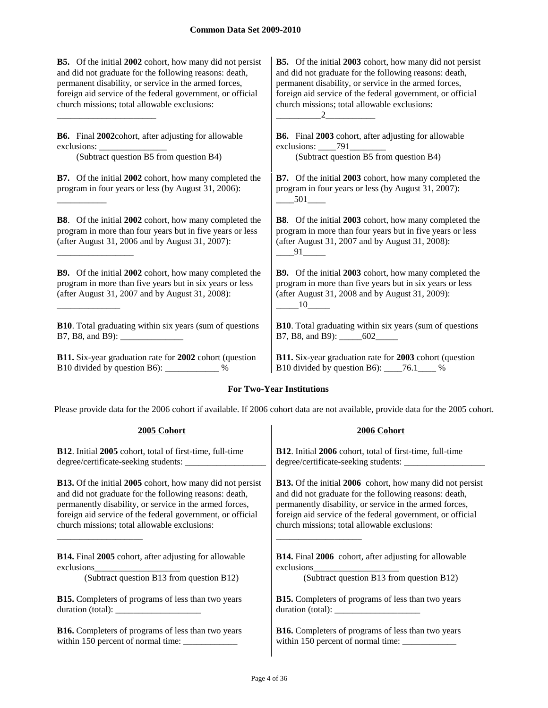**B5.** Of the initial **2002** cohort, how many did not persist and did not graduate for the following reasons: death, permanent disability, or service in the armed forces, foreign aid service of the federal government, or official church missions; total allowable exclusions:

**B6.** Final **2002**cohort, after adjusting for allowable exclusions:

\_\_\_\_\_\_\_\_\_\_\_\_\_\_\_\_\_\_\_\_\_\_

\_\_\_\_\_\_\_\_\_\_\_

\_\_\_\_\_\_\_\_\_\_\_\_\_\_\_\_\_

\_\_\_\_\_\_\_\_\_\_\_\_\_\_

(Subtract question B5 from question B4) (Subtract question B5 from question B4)

**B7.** Of the initial **2002** cohort, how many completed the program in four years or less (by August 31, 2006):

**B8**. Of the initial **2002** cohort, how many completed the program in more than four years but in five years or less (after August 31, 2006 and by August 31, 2007):

**B9.** Of the initial **2002** cohort, how many completed the program in more than five years but in six years or less (after August 31, 2007 and by August 31, 2008):

**B10**. Total graduating within six years (sum of questions B7, B8, and B9): \_\_\_\_\_\_\_\_\_\_\_\_\_\_

**B11.** Six-year graduation rate for **2002** cohort (question B10 divided by question B6): \_\_\_\_\_\_\_\_\_\_\_\_ %

**B5.** Of the initial **2003** cohort, how many did not persist and did not graduate for the following reasons: death, permanent disability, or service in the armed forces, foreign aid service of the federal government, or official church missions; total allowable exclusions:  $\frac{2}{2}$ 

**B6.** Final **2003** cohort, after adjusting for allowable exclusions: \_\_\_\_\_791\_

**B7.** Of the initial **2003** cohort, how many completed the program in four years or less (by August 31, 2007):  $-$  501

**B8**. Of the initial **2003** cohort, how many completed the program in more than four years but in five years or less (after August 31, 2007 and by August 31, 2008):  $-$ 91 $-$ 

**B9.** Of the initial **2003** cohort, how many completed the program in more than five years but in six years or less (after August 31, 2008 and by August 31, 2009): \_\_\_\_\_10\_\_\_\_\_

**B10**. Total graduating within six years (sum of questions B7, B8, and B9): \_\_\_\_\_\_\_\_ 602\_\_\_\_\_\_\_

**B11.** Six-year graduation rate for **2003** cohort (question B10 divided by question B6): \_\_\_\_76.1\_\_\_\_ %

## **For Two-Year Institutions**

Please provide data for the 2006 cohort if available. If 2006 cohort data are not available, provide data for the 2005 cohort.

| 2005 Cohort                                                                                                             | 2006 Cohort                                                                                                                                                                                                                                                                                                                                                                                         |
|-------------------------------------------------------------------------------------------------------------------------|-----------------------------------------------------------------------------------------------------------------------------------------------------------------------------------------------------------------------------------------------------------------------------------------------------------------------------------------------------------------------------------------------------|
| <b>B12.</b> Initial 2005 cohort, total of first-time, full-time                                                         | <b>B12.</b> Initial 2006 cohort, total of first-time, full-time                                                                                                                                                                                                                                                                                                                                     |
|                                                                                                                         |                                                                                                                                                                                                                                                                                                                                                                                                     |
| <b>B13.</b> Of the initial 2005 cohort, how many did not persist                                                        | <b>B13.</b> Of the initial 2006 cohort, how many did not persist                                                                                                                                                                                                                                                                                                                                    |
| and did not graduate for the following reasons: death,                                                                  | and did not graduate for the following reasons: death,                                                                                                                                                                                                                                                                                                                                              |
| permanently disability, or service in the armed forces,                                                                 | permanently disability, or service in the armed forces,                                                                                                                                                                                                                                                                                                                                             |
| foreign aid service of the federal government, or official                                                              | foreign aid service of the federal government, or official                                                                                                                                                                                                                                                                                                                                          |
| church missions; total allowable exclusions:                                                                            | church missions; total allowable exclusions:                                                                                                                                                                                                                                                                                                                                                        |
| <b>B14.</b> Final 2005 cohort, after adjusting for allowable<br>exclusions<br>(Subtract question B13 from question B12) | <b>B14.</b> Final 2006 cohort, after adjusting for allowable<br>(Subtract question B13 from question B12)                                                                                                                                                                                                                                                                                           |
| <b>B15.</b> Completers of programs of less than two years                                                               | <b>B15.</b> Completers of programs of less than two years                                                                                                                                                                                                                                                                                                                                           |
|                                                                                                                         | duration (total): $\frac{1}{\sqrt{1-\frac{1}{2}}\sqrt{1-\frac{1}{2}}\sqrt{1-\frac{1}{2}}\sqrt{1-\frac{1}{2}}\sqrt{1-\frac{1}{2}}\sqrt{1-\frac{1}{2}}\sqrt{1-\frac{1}{2}}\sqrt{1-\frac{1}{2}}\sqrt{1-\frac{1}{2}}\sqrt{1-\frac{1}{2}}\sqrt{1-\frac{1}{2}}\sqrt{1-\frac{1}{2}}\sqrt{1-\frac{1}{2}}\sqrt{1-\frac{1}{2}}\sqrt{1-\frac{1}{2}}\sqrt{1-\frac{1}{2}}\sqrt{1-\frac{1}{2}}\sqrt{1-\frac{1}{2$ |
| <b>B16.</b> Completers of programs of less than two years                                                               | <b>B16.</b> Completers of programs of less than two years                                                                                                                                                                                                                                                                                                                                           |
|                                                                                                                         |                                                                                                                                                                                                                                                                                                                                                                                                     |

Page 4 of 36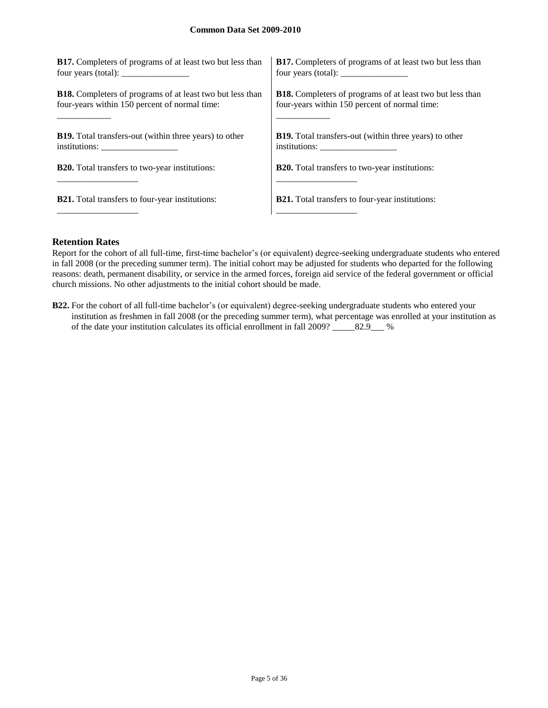| <b>B17.</b> Completers of programs of at least two but less than | <b>B17.</b> Completers of programs of at least two but less than |
|------------------------------------------------------------------|------------------------------------------------------------------|
| four years (total): $\frac{1}{2}$ [100]                          | four years (total): $\frac{1}{2}$                                |
| <b>B18.</b> Completers of programs of at least two but less than | <b>B18.</b> Completers of programs of at least two but less than |
| four-years within 150 percent of normal time:                    | four-years within 150 percent of normal time:                    |
| <b>B19.</b> Total transfers-out (within three years) to other    | <b>B19.</b> Total transfers-out (within three years) to other    |
| institutions:                                                    |                                                                  |
| <b>B20.</b> Total transfers to two-year institutions:            | <b>B20.</b> Total transfers to two-year institutions:            |
| <b>B21.</b> Total transfers to four-year institutions:           | <b>B21.</b> Total transfers to four-year institutions:           |

## **Retention Rates**

Report for the cohort of all full-time, first-time bachelor's (or equivalent) degree-seeking undergraduate students who entered in fall 2008 (or the preceding summer term). The initial cohort may be adjusted for students who departed for the following reasons: death, permanent disability, or service in the armed forces, foreign aid service of the federal government or official church missions. No other adjustments to the initial cohort should be made.

**B22.** For the cohort of all full-time bachelor's (or equivalent) degree-seeking undergraduate students who entered your institution as freshmen in fall 2008 (or the preceding summer term), what percentage was enrolled at your institution as of the date your institution calculates its official enrollment in fall 2009? \_\_\_\_\_82.9\_\_\_ %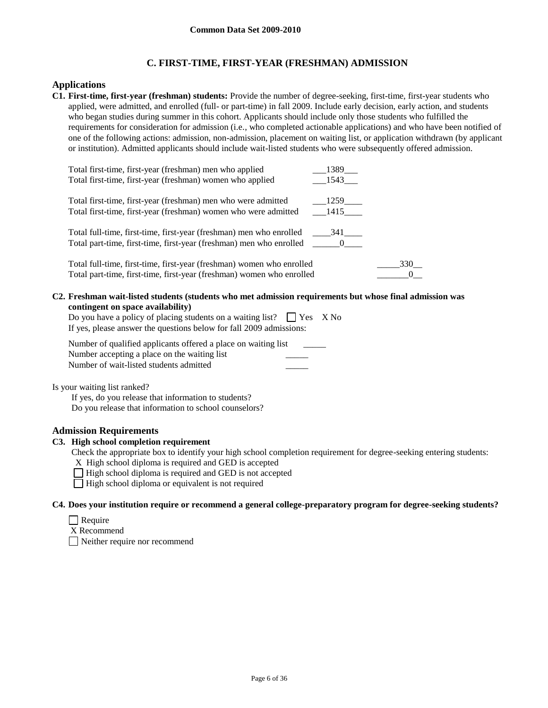## **C. FIRST-TIME, FIRST-YEAR (FRESHMAN) ADMISSION**

#### **Applications**

**C1. First-time, first-year (freshman) students:** Provide the number of degree-seeking, first-time, first-year students who applied, were admitted, and enrolled (full- or part-time) in fall 2009. Include early decision, early action, and students who began studies during summer in this cohort. Applicants should include only those students who fulfilled the requirements for consideration for admission (i.e., who completed actionable applications) and who have been notified of one of the following actions: admission, non-admission, placement on waiting list, or application withdrawn (by applicant or institution). Admitted applicants should include wait-listed students who were subsequently offered admission.

| Total first-time, first-year (freshman) men who applied<br>Total first-time, first-year (freshman) women who applied                                       | 1389<br>1543                  |     |
|------------------------------------------------------------------------------------------------------------------------------------------------------------|-------------------------------|-----|
| Total first-time, first-year (freshman) men who were admitted<br>Total first-time, first-year (freshman) women who were admitted                           | $-1259$ <sub>——</sub><br>1415 |     |
| Total full-time, first-time, first-year (freshman) men who enrolled<br>Total part-time, first-time, first-year (freshman) men who enrolled ________ 0_____ | 341                           |     |
| Total full-time, first-time, first-year (freshman) women who enrolled<br>Total part-time, first-time, first-year (freshman) women who enrolled             |                               | 330 |

**C2. Freshman wait-listed students (students who met admission requirements but whose final admission was contingent on space availability)**

| Do you have a policy of placing students on a waiting list? $\Box$ Yes X No |  |
|-----------------------------------------------------------------------------|--|
| If yes, please answer the questions below for fall 2009 admissions:         |  |

| Number of qualified applicants offered a place on waiting list |  |
|----------------------------------------------------------------|--|
| Number accepting a place on the waiting list                   |  |
| Number of wait-listed students admitted                        |  |

Is your waiting list ranked?

If yes, do you release that information to students? Do you release that information to school counselors?

## **Admission Requirements**

### **C3. High school completion requirement**

Check the appropriate box to identify your high school completion requirement for degree-seeking entering students:

X High school diploma is required and GED is accepted

 $\Box$  High school diploma is required and GED is not accepted

 $\Box$  High school diploma or equivalent is not required

#### **C4. Does your institution require or recommend a general college-preparatory program for degree-seeking students?**

- $\Box$  Require
- X Recommend

Neither require nor recommend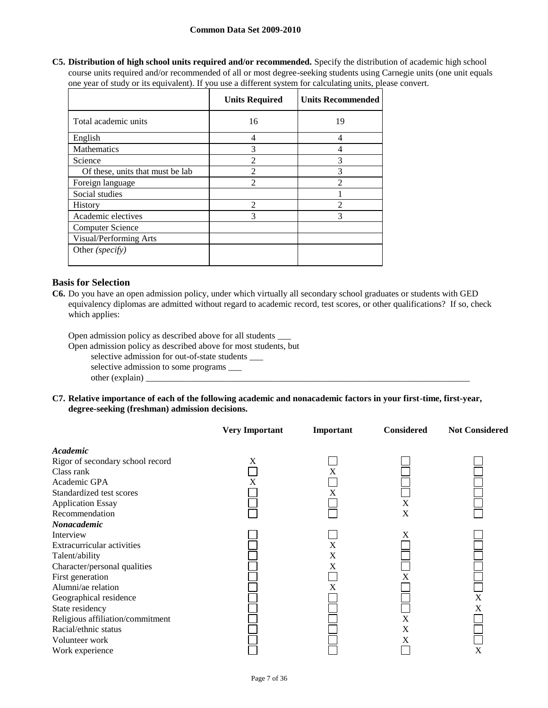#### **Common Data Set 2009-2010**

**C5. Distribution of high school units required and/or recommended.** Specify the distribution of academic high school course units required and/or recommended of all or most degree-seeking students using Carnegie units (one unit equals one year of study or its equivalent). If you use a different system for calculating units, please convert.

|                                  | <b>Units Required</b> | <b>Units Recommended</b> |
|----------------------------------|-----------------------|--------------------------|
| Total academic units             | 16                    | 19                       |
| English                          | 4                     | 4                        |
| Mathematics                      | 3                     | 4                        |
| Science                          | $\mathfrak{D}$        | 3                        |
| Of these, units that must be lab | $\mathfrak{D}$        | 3                        |
| Foreign language                 | $\mathfrak{D}$        | $\mathfrak{D}$           |
| Social studies                   |                       |                          |
| <b>History</b>                   | $\mathfrak{D}$        | $\mathfrak{D}$           |
| Academic electives               | 3                     | 3                        |
| <b>Computer Science</b>          |                       |                          |
| Visual/Performing Arts           |                       |                          |
| Other (specify)                  |                       |                          |

## **Basis for Selection**

**C6.** Do you have an open admission policy, under which virtually all secondary school graduates or students with GED equivalency diplomas are admitted without regard to academic record, test scores, or other qualifications? If so, check which applies:

Open admission policy as described above for all students \_\_\_

Open admission policy as described above for most students, but

selective admission for out-of-state students \_\_\_

selective admission to some programs \_\_\_

 $other (explain)$ 

**C7. Relative importance of each of the following academic and nonacademic factors in your first-time, first-year, degree-seeking (freshman) admission decisions.**

|                                                                                                                                                                                                                                                                                   | <b>Very Important</b> | Important        | <b>Considered</b>     | <b>Not Considered</b> |
|-----------------------------------------------------------------------------------------------------------------------------------------------------------------------------------------------------------------------------------------------------------------------------------|-----------------------|------------------|-----------------------|-----------------------|
| Academic<br>Rigor of secondary school record                                                                                                                                                                                                                                      | X                     |                  |                       |                       |
| Class rank<br>Academic GPA<br>Standardized test scores<br><b>Application Essay</b><br>Recommendation<br>Nonacademic                                                                                                                                                               | X                     | X<br>Х           | X<br>X                |                       |
| Interview<br>Extracurricular activities<br>Talent/ability<br>Character/personal qualities<br>First generation<br>Alumni/ae relation<br>Geographical residence<br>State residency<br>Religious affiliation/commitment<br>Racial/ethnic status<br>Volunteer work<br>Work experience |                       | X<br>X<br>X<br>X | X<br>X<br>X<br>X<br>X | X<br>X<br>X           |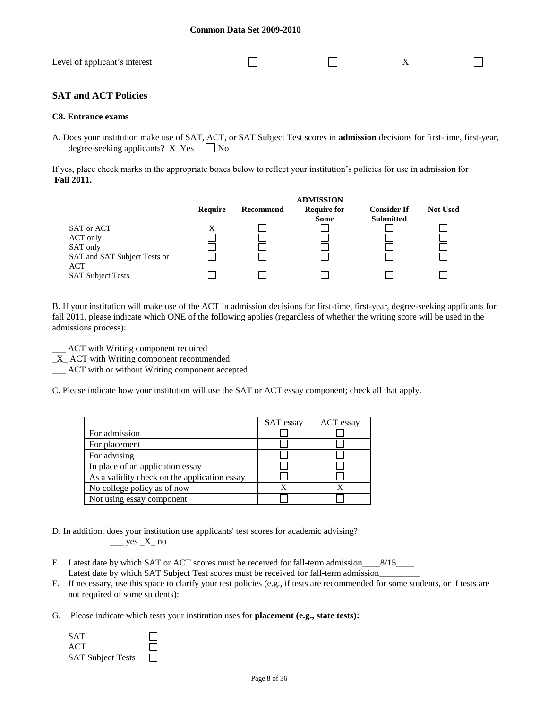| Level of applicant's interest |  |  |
|-------------------------------|--|--|
|                               |  |  |

## **SAT and ACT Policies**

#### **C8. Entrance exams**

A. Does your institution make use of SAT, ACT, or SAT Subject Test scores in **admission** decisions for first-time, first-year, degree-seeking applicants?  $X$  Yes  $\Box$  No

If yes, place check marks in the appropriate boxes below to reflect your institution's policies for use in admission for **Fall 2011.**



B. If your institution will make use of the ACT in admission decisions for first-time, first-year, degree-seeking applicants for fall 2011, please indicate which ONE of the following applies (regardless of whether the writing score will be used in the admissions process):

\_\_\_ ACT with Writing component required

\_X\_ ACT with Writing component recommended.

\_\_\_ ACT with or without Writing component accepted

C. Please indicate how your institution will use the SAT or ACT essay component; check all that apply.

|                                              | SAT essay | ACT essay |
|----------------------------------------------|-----------|-----------|
| For admission                                |           |           |
| For placement                                |           |           |
| For advising                                 |           |           |
| In place of an application essay             |           |           |
| As a validity check on the application essay |           |           |
| No college policy as of now                  |           |           |
| Not using essay component                    |           |           |

D. In addition, does your institution use applicants' test scores for academic advising?  $\_\_\_\$ yes  $\_\ X_\_\$ no

- E. Latest date by which SAT or ACT scores must be received for fall-term admission\_\_\_\_8/15\_\_\_\_\_\_\_ Latest date by which SAT Subject Test scores must be received for fall-term admission
- F. If necessary, use this space to clarify your test policies (e.g., if tests are recommended for some students, or if tests are not required of some students):
- G. Please indicate which tests your institution uses for **placement (e.g., state tests):**

| <b>SAT</b>               | $\mathsf{L}$ |
|--------------------------|--------------|
| ACT.                     | $\perp$      |
| <b>SAT Subject Tests</b> | $\mathbf{1}$ |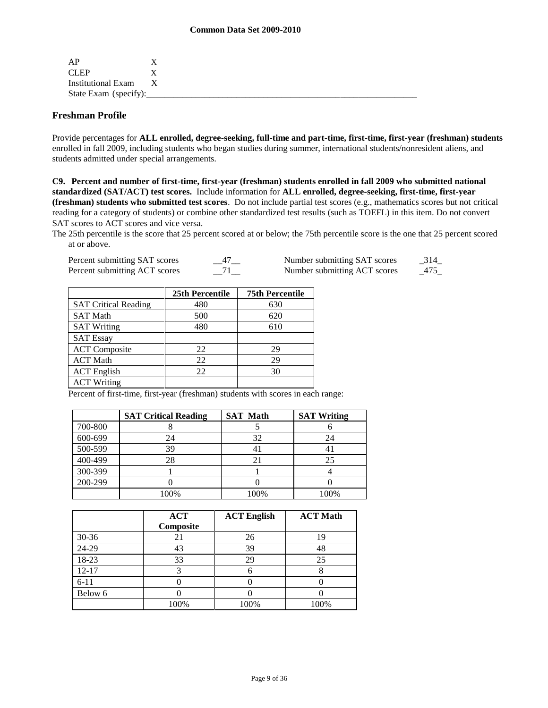| AP                    |              |  |  |
|-----------------------|--------------|--|--|
| CLEP                  |              |  |  |
| Institutional Exam    | $\mathbf{x}$ |  |  |
| State Exam (specify): |              |  |  |

## **Freshman Profile**

Provide percentages for **ALL enrolled, degree-seeking, full-time and part-time, first-time, first-year (freshman) students**  enrolled in fall 2009, including students who began studies during summer, international students/nonresident aliens, and students admitted under special arrangements.

**C9. Percent and number of first-time, first-year (freshman) students enrolled in fall 2009 who submitted national standardized (SAT/ACT) test scores.** Include information for **ALL enrolled, degree-seeking, first-time, first-year (freshman) students who submitted test scores**. Do not include partial test scores (e.g., mathematics scores but not critical reading for a category of students) or combine other standardized test results (such as TOEFL) in this item. Do not convert SAT scores to ACT scores and vice versa.

The 25th percentile is the score that 25 percent scored at or below; the 75th percentile score is the one that 25 percent scored at or above.

| Percent submitting SAT scores | Number submitting SAT scores | 314 |
|-------------------------------|------------------------------|-----|
| Percent submitting ACT scores | Number submitting ACT scores | 475 |

|                             | 25th Percentile | <b>75th Percentile</b> |
|-----------------------------|-----------------|------------------------|
|                             |                 |                        |
| <b>SAT Critical Reading</b> | 480             | 630                    |
| <b>SAT Math</b>             | 500             | 620                    |
| <b>SAT Writing</b>          | 480             | 610                    |
| <b>SAT Essay</b>            |                 |                        |
| <b>ACT</b> Composite        | 22              | 29                     |
| <b>ACT Math</b>             | 22              | 29                     |
| <b>ACT</b> English          | 22              | 30                     |
| <b>ACT Writing</b>          |                 |                        |

Percent of first-time, first-year (freshman) students with scores in each range:

|         | <b>SAT Critical Reading</b> | <b>SAT Math</b> | <b>SAT Writing</b> |
|---------|-----------------------------|-----------------|--------------------|
| 700-800 |                             |                 |                    |
| 600-699 | 24                          | 32              | 24                 |
| 500-599 | 39                          |                 |                    |
| 400-499 | 28                          |                 | 25                 |
| 300-399 |                             |                 |                    |
| 200-299 |                             |                 |                    |
|         | 100%                        | 100%            | 100%               |

|           | <b>ACT</b><br>Composite | <b>ACT English</b> | <b>ACT Math</b> |
|-----------|-------------------------|--------------------|-----------------|
| $30 - 36$ | 21                      | 26                 | 19              |
| 24-29     | 43                      | 39                 | 48              |
| 18-23     | 33                      | 29                 | 25              |
| $12 - 17$ |                         |                    |                 |
| $6 - 11$  |                         |                    |                 |
| Below 6   |                         |                    |                 |
|           | 100%                    | 100%               | 100%            |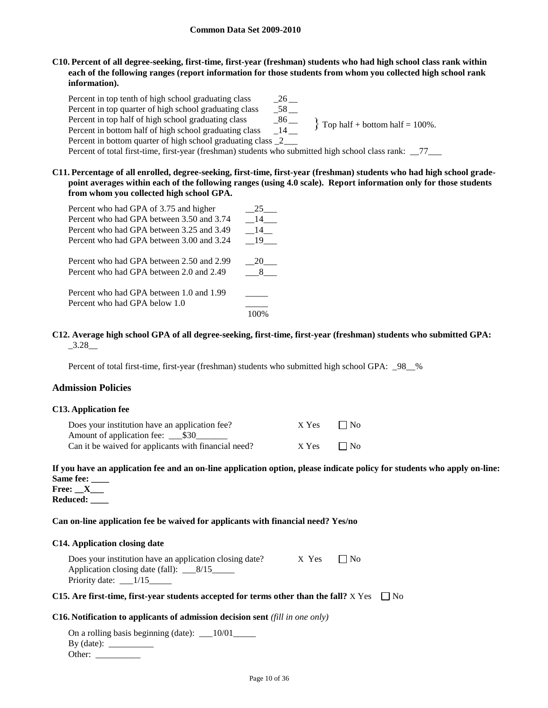**C10. Percent of all degree-seeking, first-time, first-year (freshman) students who had high school class rank within each of the following ranges (report information for those students from whom you collected high school rank information).**

Percent in top tenth of high school graduating class 26 Percent in top quarter of high school graduating class \_\_58 \_\_ Percent in top half of high school graduating class \_\_\_\_\_\_\_\_\_\_\_\_\_\_\_\_\_\_\_\_\_\_\_\_\_\_\_\_\_ Percent in bottom half of high school graduating class \_\_14 \_\_ Percent in bottom quarter of high school graduating class 2 Percent of total first-time, first-year (freshman) students who submitted high school class rank: \_\_77\_\_\_\_  $\}$  Top half + bottom half = 100%.

**C11. Percentage of all enrolled, degree-seeking, first-time, first-year (freshman) students who had high school gradepoint averages within each of the following ranges (using 4.0 scale). Report information only for those students from whom you collected high school GPA.**

| Percent who had GPA of 3.75 and higher    | 25   |
|-------------------------------------------|------|
| Percent who had GPA between 3.50 and 3.74 | 14   |
| Percent who had GPA between 3.25 and 3.49 | 14   |
| Percent who had GPA between 3.00 and 3.24 | - 19 |
| Percent who had GPA between 2.50 and 2.99 | 20   |
| Percent who had GPA between 2.0 and 2.49  |      |
| Percent who had GPA between 1.0 and 1.99  |      |
| Percent who had GPA below 1.0             |      |
|                                           |      |

**C12. Average high school GPA of all degree-seeking, first-time, first-year (freshman) students who submitted GPA:** \_3.28\_\_

Percent of total first-time, first-year (freshman) students who submitted high school GPA: \_98\_\_%

#### **Admission Policies**

#### **C13. Application fee**

| Does your institution have an application fee?       | X Yes | $\Box$ No |
|------------------------------------------------------|-------|-----------|
|                                                      |       |           |
| Can it be waived for applicants with financial need? | X Yes | $\Box$ No |

## **If you have an application fee and an on-line application option, please indicate policy for students who apply on-line: Same fee: \_\_\_\_**

**Free: \_\_X\_\_\_ Reduced: \_\_\_\_**

#### **Can on-line application fee be waived for applicants with financial need? Yes/no**

#### **C14. Application closing date**

| Does your institution have an application closing date? | $X$ Yes $\Box$ No |  |
|---------------------------------------------------------|-------------------|--|
| Application closing date (fall): $\_\_\_8/15$           |                   |  |
| Priority date: $\frac{1}{15}$                           |                   |  |

#### **C15.** Are first-time, first-year students accepted for terms other than the fall?  $X$  Yes  $\Box$  No

#### **C16. Notification to applicants of admission decision sent** *(fill in one only)*

On a rolling basis beginning (date): \_\_\_10/01\_\_\_\_\_ By (date): \_\_\_\_\_\_\_\_\_\_ Other: \_\_\_\_\_\_\_\_\_\_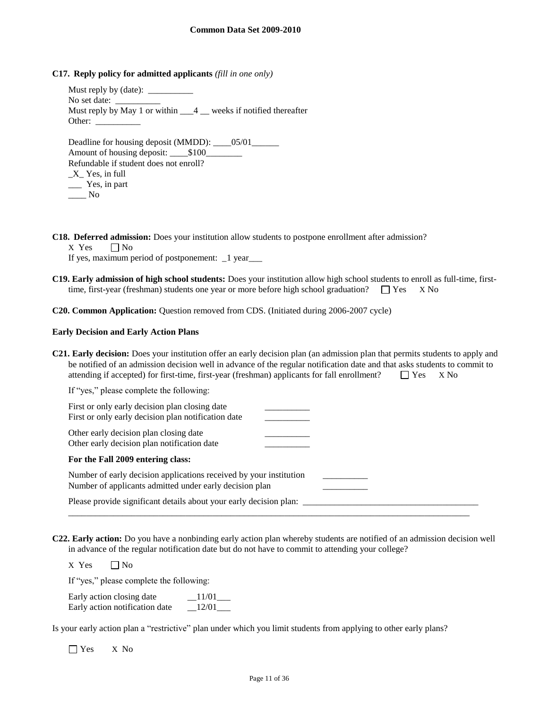**C17. Reply policy for admitted applicants** *(fill in one only)*

Must reply by (date): No set date: Must reply by May 1 or within  $\frac{4}{4}$  weeks if notified thereafter Other: Deadline for housing deposit (MMDD): \_\_\_05/01\_\_\_\_\_

Amount of housing deposit: \_\_\_\_\$100\_\_\_\_\_\_\_\_ Refundable if student does not enroll?  $X$ <sup> $\leq$ </sup> Yes, in full \_\_\_ Yes, in part  $\_\_\_\$  No

**C18. Deferred admission:** Does your institution allow students to postpone enrollment after admission?

 $X$  Yes  $\Box$  No

If yes, maximum period of postponement: \_1 year\_\_\_

**C19. Early admission of high school students:** Does your institution allow high school students to enroll as full-time, firsttime, first-year (freshman) students one year or more before high school graduation?  $\Box$  Yes X No

**C20. Common Application:** Question removed from CDS. (Initiated during 2006-2007 cycle)

#### **Early Decision and Early Action Plans**

**C21. Early decision:** Does your institution offer an early decision plan (an admission plan that permits students to apply and be notified of an admission decision well in advance of the regular notification date and that asks students to commit to attending if accepted) for first-time, first-year (freshman) applicants for fall enrollment?  $\Box$  Yes  $\Box$  X No

| If "yes," please complete the following:                                                                                      |  |
|-------------------------------------------------------------------------------------------------------------------------------|--|
| First or only early decision plan closing date<br>First or only early decision plan notification date                         |  |
| Other early decision plan closing date<br>Other early decision plan notification date                                         |  |
| For the Fall 2009 entering class:                                                                                             |  |
| Number of early decision applications received by your institution<br>Number of applicants admitted under early decision plan |  |
| Please provide significant details about your early decision plan:                                                            |  |

**C22. Early action:** Do you have a nonbinding early action plan whereby students are notified of an admission decision well in advance of the regular notification date but do not have to commit to attending your college?

 $X$  Yes  $\Box$  No

If "yes," please complete the following:

| Early action closing date      | 11/01 |
|--------------------------------|-------|
| Early action notification date | 12/01 |

Is your early action plan a "restrictive" plan under which you limit students from applying to other early plans?

Yes X No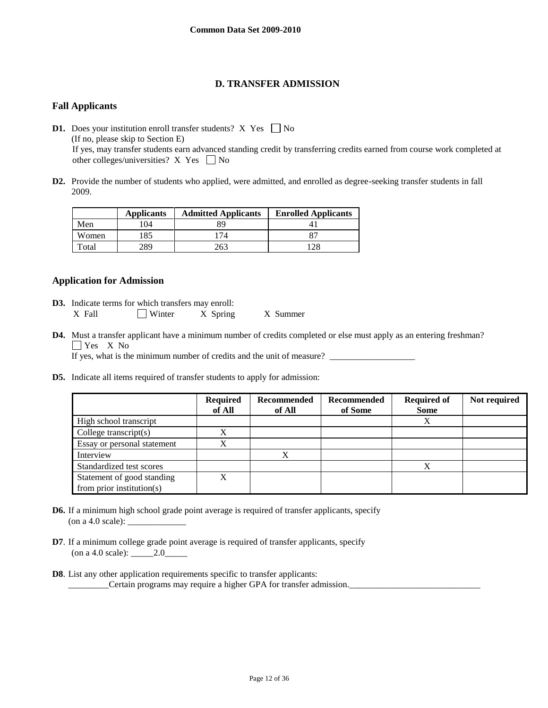## **D. TRANSFER ADMISSION**

## **Fall Applicants**

**D1.** Does your institution enroll transfer students? X Yes  $\Box$  No (If no, please skip to Section E) If yes, may transfer students earn advanced standing credit by transferring credits earned from course work completed at other colleges/universities? X Yes  $\Box$  No

**D2.** Provide the number of students who applied, were admitted, and enrolled as degree-seeking transfer students in fall 2009.

|       | <b>Applicants</b> | <b>Admitted Applicants</b> | <b>Enrolled Applicants</b> |
|-------|-------------------|----------------------------|----------------------------|
| Men   | 104               | 89                         |                            |
| Women | 185               | 74                         |                            |
| Total | 289               |                            | 128                        |

## **Application for Admission**

- **D3.** Indicate terms for which transfers may enroll: X Fall  $\Box$  Winter X Spring X Summer
- **D4.** Must a transfer applicant have a minimum number of credits completed or else must apply as an entering freshman? Yes X<sub>No</sub>

If yes, what is the minimum number of credits and the unit of measure?  $\qquad$ 

**D5.** Indicate all items required of transfer students to apply for admission:

|                               | <b>Required</b><br>of All | Recommended<br>of All | <b>Recommended</b><br>of Some | <b>Required of</b><br><b>Some</b> | Not required |
|-------------------------------|---------------------------|-----------------------|-------------------------------|-----------------------------------|--------------|
| High school transcript        |                           |                       |                               | X                                 |              |
| College transcript $(s)$      | X                         |                       |                               |                                   |              |
| Essay or personal statement   | X                         |                       |                               |                                   |              |
| Interview                     |                           | v                     |                               |                                   |              |
| Standardized test scores      |                           |                       |                               | X                                 |              |
| Statement of good standing    | X                         |                       |                               |                                   |              |
| from prior institution( $s$ ) |                           |                       |                               |                                   |              |

- **D6.** If a minimum high school grade point average is required of transfer applicants, specify (on a 4.0 scale):  $\overline{\phantom{a}}$
- **D7**. If a minimum college grade point average is required of transfer applicants, specify (on a 4.0 scale): \_\_\_\_\_2.0\_\_\_\_\_
- **D8**. List any other application requirements specific to transfer applicants: \_\_\_\_\_\_\_\_\_Certain programs may require a higher GPA for transfer admission.\_\_\_\_\_\_\_\_\_\_\_\_\_\_\_\_\_\_\_\_\_\_\_\_\_\_\_\_\_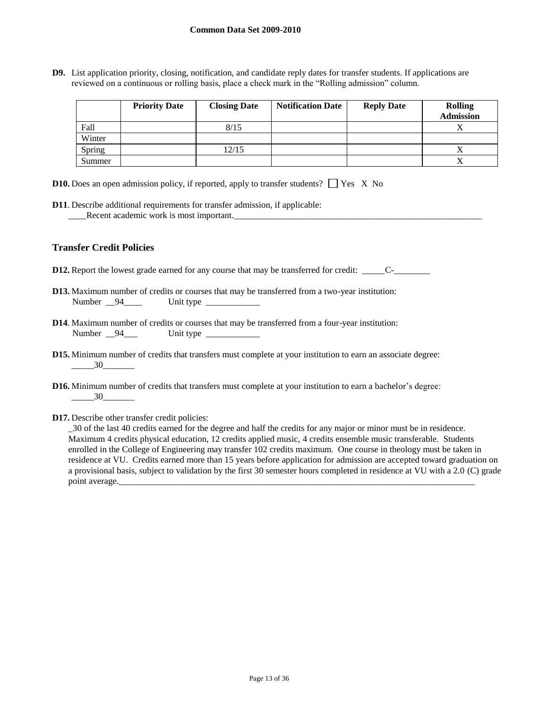**D9.** List application priority, closing, notification, and candidate reply dates for transfer students. If applications are reviewed on a continuous or rolling basis, place a check mark in the "Rolling admission" column.

|        | <b>Priority Date</b> | <b>Closing Date</b> | <b>Notification Date</b> | <b>Reply Date</b> | <b>Rolling</b><br><b>Admission</b> |
|--------|----------------------|---------------------|--------------------------|-------------------|------------------------------------|
| Fall   |                      | 8/15                |                          |                   |                                    |
| Winter |                      |                     |                          |                   |                                    |
| Spring |                      | 12/15               |                          |                   | △                                  |
| Summer |                      |                     |                          |                   |                                    |

| <b>D10.</b> Does an open admission policy, if reported, apply to transfer students? $\Box$ Yes X No |  |  |  |  |  |  |  |  |
|-----------------------------------------------------------------------------------------------------|--|--|--|--|--|--|--|--|
|-----------------------------------------------------------------------------------------------------|--|--|--|--|--|--|--|--|

**D11**. Describe additional requirements for transfer admission, if applicable: \_\_\_\_Recent academic work is most important.\_\_\_\_\_\_\_\_\_\_\_\_\_\_\_\_\_\_\_\_\_\_\_\_\_\_\_\_\_\_\_\_\_\_\_\_\_\_\_\_\_\_\_\_\_\_\_\_\_\_\_\_\_\_\_

## **Transfer Credit Policies**

**D12.** Report the lowest grade earned for any course that may be transferred for credit: \_\_\_\_\_\_\_\_\_\_\_

- **D13.** Maximum number of credits or courses that may be transferred from a two-year institution: Number \_\_94\_\_\_\_\_ Unit type \_\_\_\_\_\_\_\_\_\_\_\_\_\_\_
- **D14**. Maximum number of credits or courses that may be transferred from a four-year institution: Number \_\_94\_\_\_ Unit type \_\_\_\_\_\_\_\_\_\_\_
- **D15.** Minimum number of credits that transfers must complete at your institution to earn an associate degree: \_\_\_\_\_30\_\_\_\_\_\_\_
- **D16.** Minimum number of credits that transfers must complete at your institution to earn a bachelor's degree:  $\frac{30}{2}$
- **D17.** Describe other transfer credit policies:

\_30 of the last 40 credits earned for the degree and half the credits for any major or minor must be in residence. Maximum 4 credits physical education, 12 credits applied music, 4 credits ensemble music transferable. Students enrolled in the College of Engineering may transfer 102 credits maximum. One course in theology must be taken in residence at VU. Credits earned more than 15 years before application for admission are accepted toward graduation on a provisional basis, subject to validation by the first 30 semester hours completed in residence at VU with a 2.0 (C) grade point average.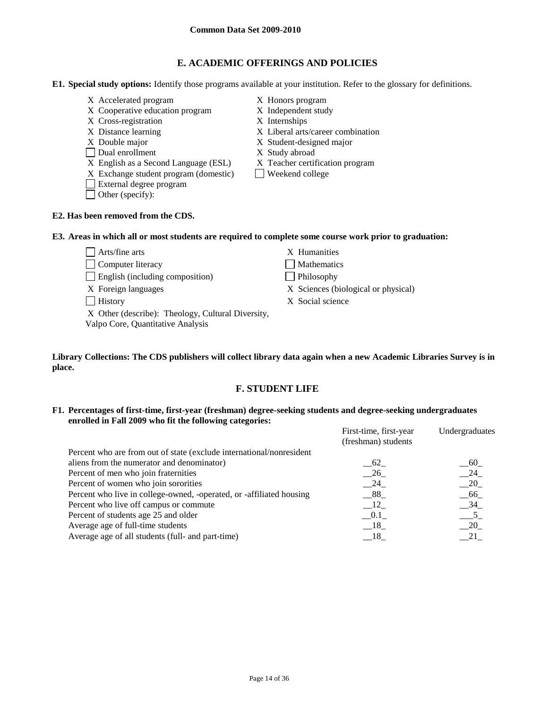## **E. ACADEMIC OFFERINGS AND POLICIES**

**E1. Special study options:** Identify those programs available at your institution. Refer to the glossary for definitions.

- X Accelerated program X Honors program
- X Cooperative education program X Independent study
- X Cross-registration X Internships
- 
- 
- Dual enrollment X Study abroad
- X English as a Second Language (ESL) X Teacher certification program<br>X Exchange student program (domestic)  $\Box$  Weekend college
- $X$  Exchange student program (domestic)
- External degree program
- Other (specify):

# **E2. Has been removed from the CDS.**

- 
- 
- X Distance learning X Liberal arts/career combination
- X Double major X Student-designed major
	-
	-
	-

## **E3. Areas in which all or most students are required to complete some course work prior to graduation:**

| $\Box$ Arts/fine arts                                                                  | X Humanities                        |
|----------------------------------------------------------------------------------------|-------------------------------------|
| Computer literacy                                                                      | Mathematics                         |
| $\Box$ English (including composition)                                                 | $\Box$ Philosophy                   |
| X Foreign languages                                                                    | X Sciences (biological or physical) |
| <b>History</b>                                                                         | X Social science                    |
| X Other (describe): Theology, Cultural Diversity,<br>Valpo Core, Quantitative Analysis |                                     |
|                                                                                        |                                     |

**Library Collections: The CDS publishers will collect library data again when a new Academic Libraries Survey is in place.** 

## **F. STUDENT LIFE**

**F1. Percentages of first-time, first-year (freshman) degree-seeking students and degree-seeking undergraduates enrolled in Fall 2009 who fit the following categories:** First-time, first-year Undergraduates

| (freshman) students | Undergraduates         |
|---------------------|------------------------|
|                     |                        |
| 62                  | 60                     |
| 26                  | $\_\$ {24}             |
| 24                  | $-20$                  |
| $-88$               | - 66                   |
| $\Box$ 12           | 34                     |
| $-0.1$              |                        |
| $-18$               | 20                     |
| $-18$               | 21                     |
|                     | First-time, first-year |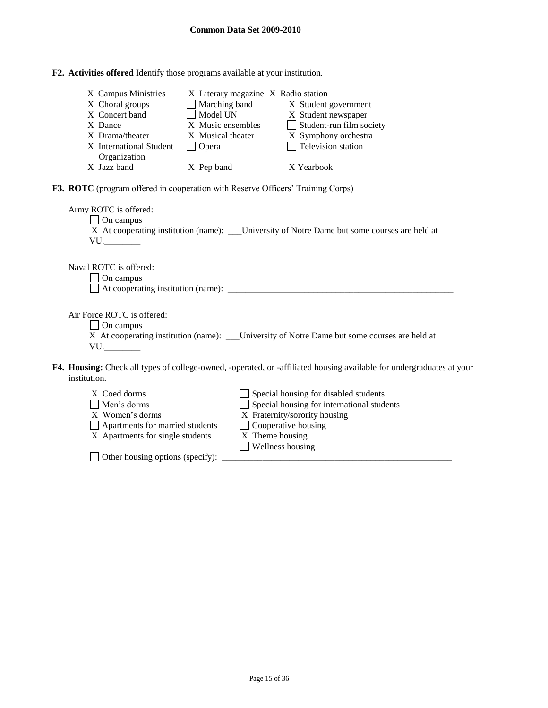| F2. Activities offered Identify those programs available at your institution. |  |
|-------------------------------------------------------------------------------|--|
|-------------------------------------------------------------------------------|--|

| X Campus Ministries<br>X Choral groups<br>X Concert band<br>X Dance<br>X Drama/theater<br>X International Student<br>Organization<br>X Jazz band | X Literary magazine X Radio station<br>$\Box$ Marching band<br>Model UN<br>X Music ensembles<br>X Musical theater<br>$\Box$ Opera<br>X Pep band | X Student government<br>X Student newspaper<br>$\Box$ Student-run film society<br>X Symphony orchestra<br>$\Box$ Television station<br>X Yearbook                                                |  |
|--------------------------------------------------------------------------------------------------------------------------------------------------|-------------------------------------------------------------------------------------------------------------------------------------------------|--------------------------------------------------------------------------------------------------------------------------------------------------------------------------------------------------|--|
|                                                                                                                                                  |                                                                                                                                                 |                                                                                                                                                                                                  |  |
| F3. ROTC (program offered in cooperation with Reserve Officers' Training Corps)                                                                  |                                                                                                                                                 |                                                                                                                                                                                                  |  |
| Army ROTC is offered:<br>$\Box$ On campus<br>$VU$ .                                                                                              |                                                                                                                                                 | X At cooperating institution (name): ____University of Notre Dame but some courses are held at                                                                                                   |  |
| Naval ROTC is offered:<br>On campus                                                                                                              |                                                                                                                                                 |                                                                                                                                                                                                  |  |
| Air Force ROTC is offered:<br>$\Box$ On campus<br>$VU$ .                                                                                         |                                                                                                                                                 | X At cooperating institution (name): ___ University of Notre Dame but some courses are held at                                                                                                   |  |
| institution.                                                                                                                                     |                                                                                                                                                 | F4. Housing: Check all types of college-owned, -operated, or -affiliated housing available for undergraduates at your                                                                            |  |
| X Coed dorms<br>Men's dorms<br>X Women's dorms<br>Apartments for married students<br>X Apartments for single students                            |                                                                                                                                                 | Special housing for disabled students<br>Special housing for international students<br>X Fraternity/sorority housing<br>$\Box$ Cooperative housing<br>X Theme housing<br>$\Box$ Wellness housing |  |

 $\Box$  Other housing options (specify):  $\Box$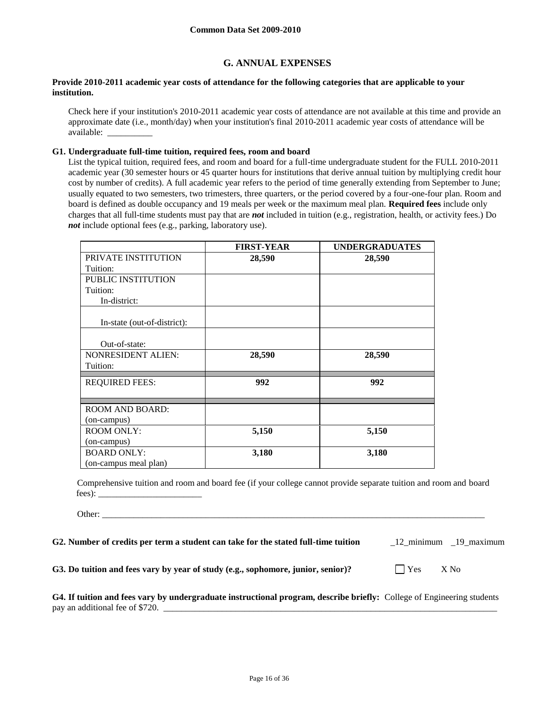## **G. ANNUAL EXPENSES**

#### **Provide 2010-2011 academic year costs of attendance for the following categories that are applicable to your institution.**

Check here if your institution's 2010-2011 academic year costs of attendance are not available at this time and provide an approximate date (i.e., month/day) when your institution's final 2010-2011 academic year costs of attendance will be available: \_\_\_\_\_\_\_\_\_\_

#### **G1. Undergraduate full-time tuition, required fees, room and board**

List the typical tuition, required fees, and room and board for a full-time undergraduate student for the FULL 2010-2011 academic year (30 semester hours or 45 quarter hours for institutions that derive annual tuition by multiplying credit hour cost by number of credits). A full academic year refers to the period of time generally extending from September to June; usually equated to two semesters, two trimesters, three quarters, or the period covered by a four-one-four plan. Room and board is defined as double occupancy and 19 meals per week or the maximum meal plan. **Required fees** include only charges that all full-time students must pay that are *not* included in tuition (e.g., registration, health, or activity fees.) Do *not* include optional fees (e.g., parking, laboratory use).

|                             | <b>FIRST-YEAR</b> | <b>UNDERGRADUATES</b> |
|-----------------------------|-------------------|-----------------------|
| PRIVATE INSTITUTION         | 28,590            | 28,590                |
| Tuition:                    |                   |                       |
| PUBLIC INSTITUTION          |                   |                       |
| Tuition:                    |                   |                       |
| In-district:                |                   |                       |
| In-state (out-of-district): |                   |                       |
|                             |                   |                       |
| Out-of-state:               |                   |                       |
| <b>NONRESIDENT ALIEN:</b>   | 28,590            | 28,590                |
| Tuition:                    |                   |                       |
| <b>REQUIRED FEES:</b>       | 992               | 992                   |
|                             |                   |                       |
| <b>ROOM AND BOARD:</b>      |                   |                       |
| (on-campus)                 |                   |                       |
| <b>ROOM ONLY:</b>           | 5,150             | 5,150                 |
| (on-campus)                 |                   |                       |
| <b>BOARD ONLY:</b>          | 3,180             | 3,180                 |
| (on-campus meal plan)       |                   |                       |

Comprehensive tuition and room and board fee (if your college cannot provide separate tuition and room and board fees): \_\_\_\_\_\_\_\_\_\_\_\_\_\_\_\_\_\_\_\_\_\_\_

Other: \_\_\_\_\_\_\_\_\_\_\_\_\_\_\_\_\_\_\_\_\_\_\_\_\_\_\_\_\_\_\_\_\_\_\_\_\_\_\_\_\_\_\_\_\_\_\_\_\_\_\_\_\_\_\_\_\_\_\_\_\_\_\_\_\_\_\_\_\_\_\_\_\_\_\_\_\_\_\_\_\_\_\_\_\_

**G2. Number of credits per term a student can take for the stated full-time tuition** \_12\_minimum \_19\_maximum

**G3.** Do tuition and fees vary by year of study (e.g., sophomore, junior, senior)?  $\Box$  Yes X No

| G4. If tuition and fees vary by undergraduate instructional program, describe briefly: College of Engineering students |  |
|------------------------------------------------------------------------------------------------------------------------|--|
| pay an additional fee of \$720.                                                                                        |  |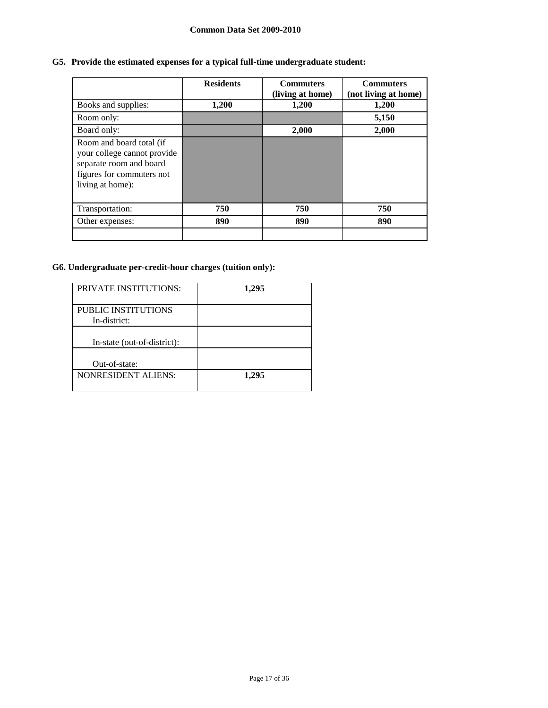## **Common Data Set 2009-2010**

# **G5. Provide the estimated expenses for a typical full-time undergraduate student:**

|                                                                                                                                     | <b>Residents</b> | <b>Commuters</b><br>(living at home) | <b>Commuters</b><br>(not living at home) |
|-------------------------------------------------------------------------------------------------------------------------------------|------------------|--------------------------------------|------------------------------------------|
| Books and supplies:                                                                                                                 | 1,200            | 1,200                                | 1,200                                    |
| Room only:                                                                                                                          |                  |                                      | 5,150                                    |
| Board only:                                                                                                                         |                  | 2,000                                | 2,000                                    |
| Room and board total (if<br>your college cannot provide<br>separate room and board<br>figures for commuters not<br>living at home): |                  |                                      |                                          |
| Transportation:                                                                                                                     | 750              | 750                                  | 750                                      |
| Other expenses:                                                                                                                     | 890              | 890                                  | 890                                      |
|                                                                                                                                     |                  |                                      |                                          |

# **G6. Undergraduate per-credit-hour charges (tuition only):**

| <b>PRIVATE INSTITUTIONS:</b> | 1,295 |
|------------------------------|-------|
| PUBLIC INSTITUTIONS          |       |
| In-district:                 |       |
| In-state (out-of-district):  |       |
|                              |       |
| Out-of-state:                |       |
| <b>NONRESIDENT ALIENS:</b>   | 1.295 |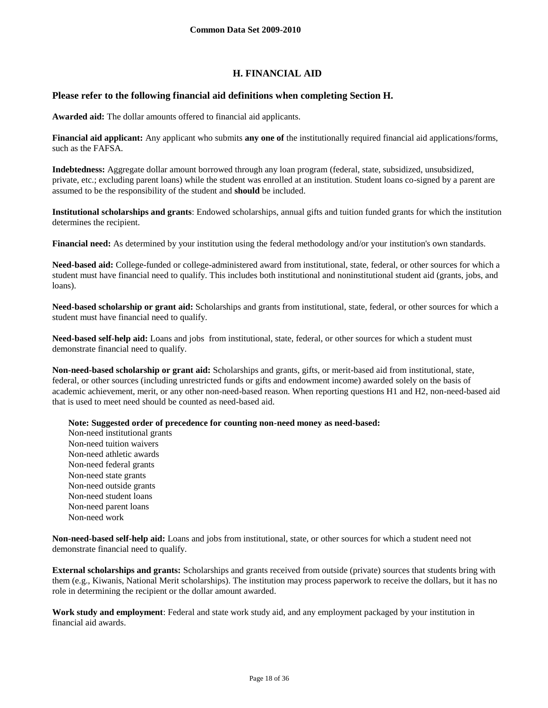## **H. FINANCIAL AID**

## **Please refer to the following financial aid definitions when completing Section H.**

**Awarded aid:** The dollar amounts offered to financial aid applicants.

**Financial aid applicant:** Any applicant who submits **any one of** the institutionally required financial aid applications/forms, such as the FAFSA.

**Indebtedness:** Aggregate dollar amount borrowed through any loan program (federal, state, subsidized, unsubsidized, private, etc.; excluding parent loans) while the student was enrolled at an institution. Student loans co-signed by a parent are assumed to be the responsibility of the student and **should** be included.

**Institutional scholarships and grants**: Endowed scholarships, annual gifts and tuition funded grants for which the institution determines the recipient.

**Financial need:** As determined by your institution using the federal methodology and/or your institution's own standards.

**Need-based aid:** College-funded or college-administered award from institutional, state, federal, or other sources for which a student must have financial need to qualify. This includes both institutional and noninstitutional student aid (grants, jobs, and loans).

**Need-based scholarship or grant aid:** Scholarships and grants from institutional, state, federal, or other sources for which a student must have financial need to qualify.

**Need-based self-help aid:** Loans and jobs from institutional, state, federal, or other sources for which a student must demonstrate financial need to qualify.

**Non-need-based scholarship or grant aid:** Scholarships and grants, gifts, or merit-based aid from institutional, state, federal, or other sources (including unrestricted funds or gifts and endowment income) awarded solely on the basis of academic achievement, merit, or any other non-need-based reason. When reporting questions H1 and H2, non-need-based aid that is used to meet need should be counted as need-based aid.

**Note: Suggested order of precedence for counting non-need money as need-based:**

Non-need institutional grants Non-need tuition waivers Non-need athletic awards Non-need federal grants Non-need state grants Non-need outside grants Non-need student loans Non-need parent loans Non-need work

**Non-need-based self-help aid:** Loans and jobs from institutional, state, or other sources for which a student need not demonstrate financial need to qualify.

**External scholarships and grants:** Scholarships and grants received from outside (private) sources that students bring with them (e.g., Kiwanis, National Merit scholarships). The institution may process paperwork to receive the dollars, but it has no role in determining the recipient or the dollar amount awarded.

**Work study and employment**: Federal and state work study aid, and any employment packaged by your institution in financial aid awards.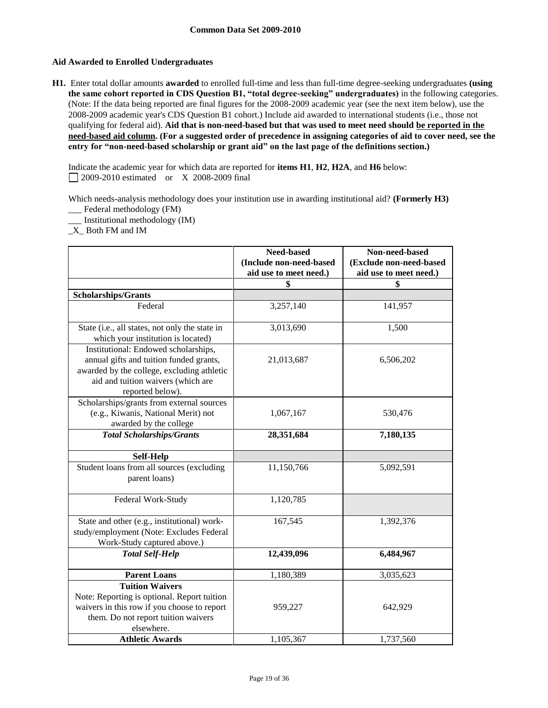## **Aid Awarded to Enrolled Undergraduates**

**H1.** Enter total dollar amounts **awarded** to enrolled full-time and less than full-time degree-seeking undergraduates **(using the same cohort reported in CDS Question B1, "total degree-seeking" undergraduates)** in the following categories. (Note: If the data being reported are final figures for the 2008-2009 academic year (see the next item below), use the 2008-2009 academic year's CDS Question B1 cohort.) Include aid awarded to international students (i.e., those not qualifying for federal aid). **Aid that is non-need-based but that was used to meet need should be reported in the need-based aid column. (For a suggested order of precedence in assigning categories of aid to cover need, see the entry for "non-need-based scholarship or grant aid" on the last page of the definitions section.)**

Indicate the academic year for which data are reported for **items H1**, **H2**, **H2A**, and **H6** below: 2009-2010 estimated or X 2008-2009 final

Which needs-analysis methodology does your institution use in awarding institutional aid? **(Formerly H3)** \_\_\_ Federal methodology (FM)

\_\_\_ Institutional methodology (IM)

\_X\_ Both FM and IM

|                                                                                                                                                                                         | Need-based<br>(Include non-need-based<br>aid use to meet need.) | Non-need-based<br>(Exclude non-need-based<br>aid use to meet need.) |
|-----------------------------------------------------------------------------------------------------------------------------------------------------------------------------------------|-----------------------------------------------------------------|---------------------------------------------------------------------|
|                                                                                                                                                                                         | \$                                                              | \$                                                                  |
| Scholarships/Grants                                                                                                                                                                     |                                                                 |                                                                     |
| Federal                                                                                                                                                                                 | 3,257,140                                                       | 141,957                                                             |
| State (i.e., all states, not only the state in<br>which your institution is located)                                                                                                    | 3,013,690                                                       | 1,500                                                               |
| Institutional: Endowed scholarships,<br>annual gifts and tuition funded grants,<br>awarded by the college, excluding athletic<br>aid and tuition waivers (which are<br>reported below). | 21,013,687                                                      | 6,506,202                                                           |
| Scholarships/grants from external sources<br>(e.g., Kiwanis, National Merit) not<br>awarded by the college                                                                              | 1,067,167                                                       | 530,476                                                             |
| <b>Total Scholarships/Grants</b>                                                                                                                                                        | 28,351,684                                                      | 7,180,135                                                           |
| Self-Help                                                                                                                                                                               |                                                                 |                                                                     |
| Student loans from all sources (excluding<br>parent loans)                                                                                                                              | 11,150,766                                                      | 5,092,591                                                           |
| Federal Work-Study                                                                                                                                                                      | 1,120,785                                                       |                                                                     |
| State and other (e.g., institutional) work-<br>study/employment (Note: Excludes Federal<br>Work-Study captured above.)                                                                  | 167,545                                                         | 1,392,376                                                           |
| <b>Total Self-Help</b>                                                                                                                                                                  | 12,439,096                                                      | 6,484,967                                                           |
| <b>Parent Loans</b>                                                                                                                                                                     | 1,180,389                                                       | 3,035,623                                                           |
| <b>Tuition Waivers</b><br>Note: Reporting is optional. Report tuition<br>waivers in this row if you choose to report<br>them. Do not report tuition waivers<br>elsewhere.               | 959,227                                                         | 642,929                                                             |
| <b>Athletic Awards</b>                                                                                                                                                                  | 1,105,367                                                       | 1,737,560                                                           |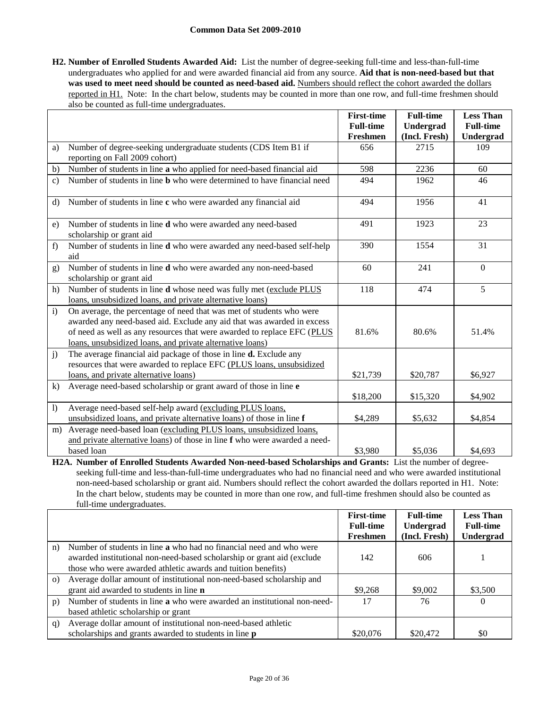#### **Common Data Set 2009-2010**

**H2. Number of Enrolled Students Awarded Aid:** List the number of degree-seeking full-time and less-than-full-time undergraduates who applied for and were awarded financial aid from any source. **Aid that is non-need-based but that**  was used to meet need should be counted as need-based aid. Numbers should reflect the cohort awarded the dollars reported in H1. Note: In the chart below, students may be counted in more than one row, and full-time freshmen should also be counted as full-time undergraduates.

|                  |                                                                                | <b>First-time</b> | <b>Full-time</b> | <b>Less Than</b> |
|------------------|--------------------------------------------------------------------------------|-------------------|------------------|------------------|
|                  |                                                                                | <b>Full-time</b>  | Undergrad        | <b>Full-time</b> |
|                  |                                                                                | Freshmen          | (Incl. Fresh)    | Undergrad        |
| a)               | Number of degree-seeking undergraduate students (CDS Item B1 if                | 656               | 2715             | 109              |
|                  | reporting on Fall 2009 cohort)                                                 |                   |                  |                  |
| b)               | Number of students in line a who applied for need-based financial aid          | 598               | 2236             | 60               |
| $\mathbf{c})$    | Number of students in line <b>b</b> who were determined to have financial need | 494               | 1962             | 46               |
| $\rm d$          | Number of students in line c who were awarded any financial aid                | 494               | 1956             | 41               |
|                  |                                                                                |                   |                  |                  |
| e)               | Number of students in line d who were awarded any need-based                   | 491               | 1923             | 23               |
|                  | scholarship or grant aid                                                       |                   |                  |                  |
| f)               | Number of students in line d who were awarded any need-based self-help         | 390               | 1554             | 31               |
|                  | aid                                                                            |                   |                  |                  |
| g)               | Number of students in line <b>d</b> who were awarded any non-need-based        | 60                | 241              | $\theta$         |
|                  | scholarship or grant aid                                                       |                   |                  |                  |
| h)               | Number of students in line d whose need was fully met (exclude PLUS            | 118               | 474              | 5                |
|                  | loans, unsubsidized loans, and private alternative loans)                      |                   |                  |                  |
| $\mathbf{i}$     | On average, the percentage of need that was met of students who were           |                   |                  |                  |
|                  | awarded any need-based aid. Exclude any aid that was awarded in excess         |                   |                  |                  |
|                  | of need as well as any resources that were awarded to replace EFC (PLUS        | 81.6%             | 80.6%            | 51.4%            |
|                  | loans, unsubsidized loans, and private alternative loans)                      |                   |                  |                  |
| $\mathbf{j}$     | The average financial aid package of those in line d. Exclude any              |                   |                  |                  |
|                  | resources that were awarded to replace EFC (PLUS loans, unsubsidized           |                   |                  |                  |
|                  | loans, and private alternative loans)                                          | \$21,739          | \$20,787         | \$6,927          |
| $\bf k)$         | Average need-based scholarship or grant award of those in line e               |                   |                  |                  |
|                  |                                                                                | \$18,200          | \$15,320         | \$4,902          |
| $\left  \right)$ | Average need-based self-help award (excluding PLUS loans,                      |                   |                  |                  |
|                  | unsubsidized loans, and private alternative loans) of those in line f          | \$4,289           | \$5,632          | \$4,854          |
| m)               | Average need-based loan (excluding PLUS loans, unsubsidized loans,             |                   |                  |                  |
|                  | and private alternative loans) of those in line f who were awarded a need-     |                   |                  |                  |
|                  | based loan                                                                     | \$3,980           | \$5,036          | \$4,693          |

**H2A. Number of Enrolled Students Awarded Non-need-based Scholarships and Grants:** List the number of degreeseeking full-time and less-than-full-time undergraduates who had no financial need and who were awarded institutional non-need-based scholarship or grant aid. Numbers should reflect the cohort awarded the dollars reported in H1. Note: In the chart below, students may be counted in more than one row, and full-time freshmen should also be counted as full-time undergraduates.

|          |                                                                            | <b>First-time</b><br><b>Full-time</b> | <b>Full-time</b><br>Undergrad | <b>Less Than</b><br><b>Full-time</b> |
|----------|----------------------------------------------------------------------------|---------------------------------------|-------------------------------|--------------------------------------|
|          |                                                                            | Freshmen                              | (Incl. Fresh)                 | <b>Undergrad</b>                     |
| n)       | Number of students in line <b>a</b> who had no financial need and who were |                                       |                               |                                      |
|          | awarded institutional non-need-based scholarship or grant aid (exclude     | 142                                   | 606                           |                                      |
|          | those who were awarded athletic awards and tuition benefits)               |                                       |                               |                                      |
| $\Omega$ | Average dollar amount of institutional non-need-based scholarship and      |                                       |                               |                                      |
|          | grant aid awarded to students in line <b>n</b>                             | \$9.268                               | \$9,002                       | \$3,500                              |
| p)       | Number of students in line a who were awarded an institutional non-need-   | 17                                    | 76                            | $\Omega$                             |
|          | based athletic scholarship or grant                                        |                                       |                               |                                      |
| q)       | Average dollar amount of institutional non-need-based athletic             |                                       |                               |                                      |
|          | scholarships and grants awarded to students in line <b>p</b>               | \$20,076                              | \$20,472                      | \$0                                  |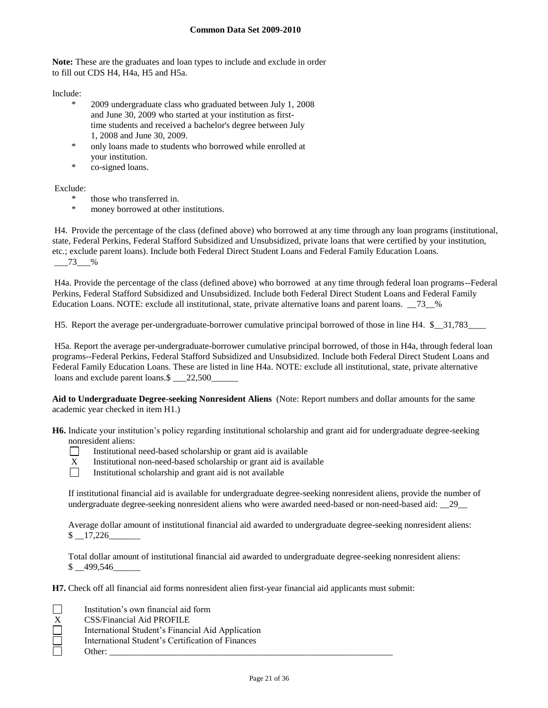**Note:** These are the graduates and loan types to include and exclude in order to fill out CDS H4, H4a, H5 and H5a.

Include:

- \* 2009 undergraduate class who graduated between July 1, 2008 and June 30, 2009 who started at your institution as firsttime students and received a bachelor's degree between July 1, 2008 and June 30, 2009.
- only loans made to students who borrowed while enrolled at your institution.
- \* co-signed loans.

Exclude:

- \* those who transferred in.
- \* money borrowed at other institutions.

H4. Provide the percentage of the class (defined above) who borrowed at any time through any loan programs (institutional, state, Federal Perkins, Federal Stafford Subsidized and Unsubsidized, private loans that were certified by your institution, etc.; exclude parent loans). Include both Federal Direct Student Loans and Federal Family Education Loans. \_\_\_73\_\_\_%

H4a. Provide the percentage of the class (defined above) who borrowed at any time through federal loan programs--Federal Perkins, Federal Stafford Subsidized and Unsubsidized. Include both Federal Direct Student Loans and Federal Family Education Loans. NOTE: exclude all institutional, state, private alternative loans and parent loans.  $\frac{73}{8}$  %

H5. Report the average per-undergraduate-borrower cumulative principal borrowed of those in line H4. \$\_\_31,783\_\_\_\_

H5a. Report the average per-undergraduate-borrower cumulative principal borrowed, of those in H4a, through federal loan programs--Federal Perkins, Federal Stafford Subsidized and Unsubsidized. Include both Federal Direct Student Loans and Federal Family Education Loans. These are listed in line H4a. NOTE: exclude all institutional, state, private alternative loans and exclude parent loans.\$ \_\_\_22,500\_

**Aid to Undergraduate Degree-seeking Nonresident Aliens** (Note: Report numbers and dollar amounts for the same academic year checked in item H1.)

**H6.** Indicate your institution's policy regarding institutional scholarship and grant aid for undergraduate degree-seeking nonresident aliens:



Institutional need-based scholarship or grant aid is available

- $X$  Institutional non-need-based scholarship or grant aid is available<br>Institutional scholarship and grant aid is not available
	- Institutional scholarship and grant aid is not available

If institutional financial aid is available for undergraduate degree-seeking nonresident aliens, provide the number of undergraduate degree-seeking nonresident aliens who were awarded need-based or non-need-based aid: \_\_29\_\_

Average dollar amount of institutional financial aid awarded to undergraduate degree-seeking nonresident aliens:  $$ -17,226$ 

Total dollar amount of institutional financial aid awarded to undergraduate degree-seeking nonresident aliens:  $$ 499,546$ 

**H7.** Check off all financial aid forms nonresident alien first-year financial aid applicants must submit:

|                          | Institution's own financial aid form              |
|--------------------------|---------------------------------------------------|
| X.                       | CSS/Financial Aid PROFILE                         |
| $\overline{\phantom{0}}$ | International Student's Financial Aid Application |
| $=$                      | International Student's Certification of Finances |
|                          | Other:                                            |
|                          |                                                   |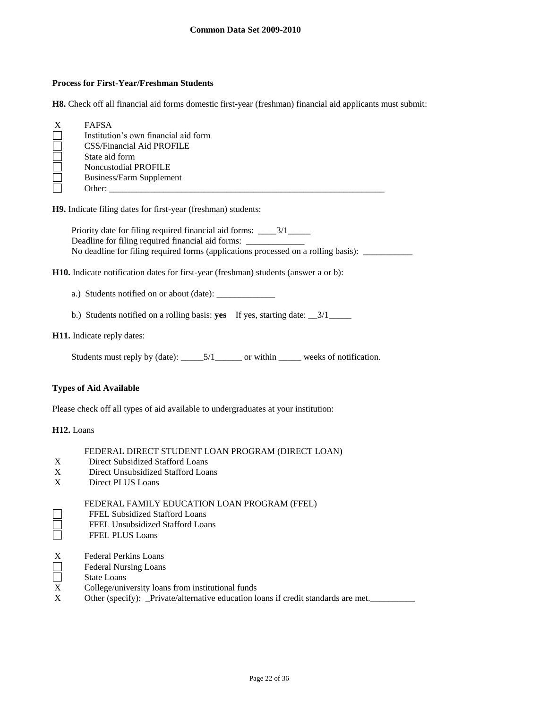#### **Process for First-Year/Freshman Students**

**H8.** Check off all financial aid forms domestic first-year (freshman) financial aid applicants must submit:

| $\boldsymbol{X}$ | <b>FAFSA</b>                         |
|------------------|--------------------------------------|
|                  | Institution's own financial aid form |
|                  | CSS/Financial Aid PROFILE            |
|                  | State aid form                       |
|                  | <b>Noncustodial PROFILE</b>          |
|                  | Business/Farm Supplement             |
|                  | Other:                               |
|                  |                                      |

**H9.** Indicate filing dates for first-year (freshman) students:

Priority date for filing required financial aid forms: \_\_\_\_3/1\_\_\_\_\_ Deadline for filing required financial aid forms: \_ No deadline for filing required forms (applications processed on a rolling basis): \_\_\_\_\_\_\_\_\_\_\_

**H10.** Indicate notification dates for first-year (freshman) students (answer a or b):

- a.) Students notified on or about (date): \_\_\_\_\_\_\_\_\_\_\_\_\_
- b.) Students notified on a rolling basis: **yes** If yes, starting date: \_\_3/1\_\_\_\_\_

#### **H11.** Indicate reply dates:

Students must reply by (date): \_\_\_\_\_\_5/1\_\_\_\_\_\_\_ or within \_\_\_\_\_\_ weeks of notification.

#### **Types of Aid Available**

Please check off all types of aid available to undergraduates at your institution:

#### **H12.** Loans

8<br>8

#### FEDERAL DIRECT STUDENT LOAN PROGRAM (DIRECT LOAN)

- X Direct Subsidized Stafford Loans
- X Direct Unsubsidized Stafford Loans<br>X Direct PLUS Loans
- Direct PLUS Loans

#### FEDERAL FAMILY EDUCATION LOAN PROGRAM (FFEL)

- FFEL Subsidized Stafford Loans
- FFEL Unsubsidized Stafford Loans
- FFEL PLUS Loans
- 
- X Federal Perkins Loans<br>
Federal Nursing Loans<br>
X College/university loan Federal Nursing Loans
- State Loans
- College/university loans from institutional funds
- X Other (specify): \_Private/alternative education loans if credit standards are met.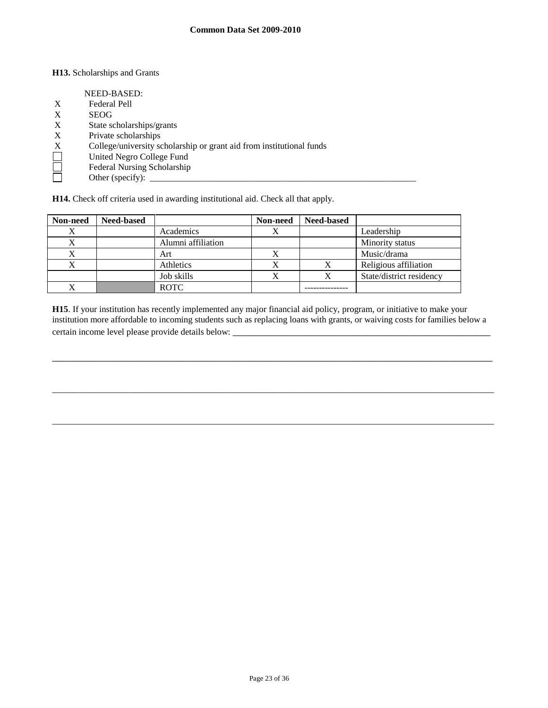#### **H13.** Scholarships and Grants

|   | NEED-BASED:                                                          |
|---|----------------------------------------------------------------------|
|   |                                                                      |
| X | Federal Pell                                                         |
| X | <b>SEOG</b>                                                          |
| X | State scholarships/grants                                            |
| X | Private scholarships                                                 |
| X | College/university scholarship or grant aid from institutional funds |
|   | United Negro College Fund                                            |
|   | Federal Nursing Scholarship                                          |
|   | Other (specify): $\qquad \qquad$                                     |
|   |                                                                      |

**H14.** Check off criteria used in awarding institutional aid. Check all that apply.

| Non-need | <b>Need-based</b> |                    | Non-need | <b>Need-based</b> |                          |
|----------|-------------------|--------------------|----------|-------------------|--------------------------|
|          |                   | Academics          |          |                   | Leadership               |
|          |                   | Alumni affiliation |          |                   | Minority status          |
|          |                   | Art                | ↗        |                   | Music/drama              |
|          |                   | Athletics          |          |                   | Religious affiliation    |
|          |                   | Job skills         |          |                   | State/district residency |
|          |                   | <b>ROTC</b>        |          |                   |                          |

**H15**. If your institution has recently implemented any major financial aid policy, program, or initiative to make your institution more affordable to incoming students such as replacing loans with grants, or waiving costs for families below a certain income level please provide details below: \_\_\_\_\_\_\_\_\_\_\_\_\_\_\_\_\_\_\_\_\_\_\_\_\_\_\_\_\_\_

\_\_\_\_\_\_\_\_\_\_\_\_\_\_\_\_\_\_\_\_\_\_\_\_\_\_\_\_\_\_\_\_\_\_\_\_\_\_\_\_\_\_\_\_\_\_\_\_\_\_\_\_\_\_\_\_\_\_\_\_\_\_\_\_\_\_\_\_\_\_\_\_\_\_\_\_\_\_\_\_\_\_

\_\_\_\_\_\_\_\_\_\_\_\_\_\_\_\_\_\_\_\_\_\_\_\_\_\_\_\_\_\_\_\_\_\_\_\_\_\_\_\_\_\_\_\_\_\_\_\_\_\_\_\_\_\_\_\_\_\_\_\_\_\_\_\_\_\_\_\_\_\_\_\_\_\_\_\_\_\_\_\_\_\_\_\_\_\_\_\_\_\_\_\_\_\_\_\_\_\_

\_\_\_\_\_\_\_\_\_\_\_\_\_\_\_\_\_\_\_\_\_\_\_\_\_\_\_\_\_\_\_\_\_\_\_\_\_\_\_\_\_\_\_\_\_\_\_\_\_\_\_\_\_\_\_\_\_\_\_\_\_\_\_\_\_\_\_\_\_\_\_\_\_\_\_\_\_\_\_\_\_\_\_\_\_\_\_\_\_\_\_\_\_\_\_\_\_\_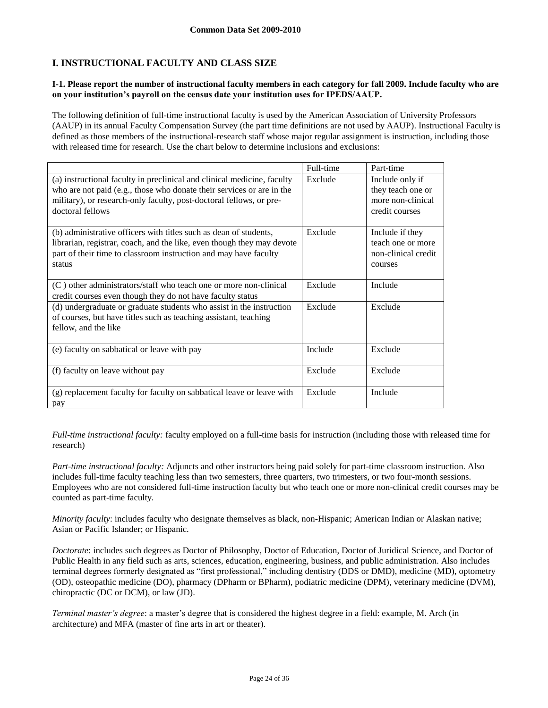## **I. INSTRUCTIONAL FACULTY AND CLASS SIZE**

#### **I-1. Please report the number of instructional faculty members in each category for fall 2009. Include faculty who are on your institution's payroll on the census date your institution uses for IPEDS/AAUP.**

The following definition of full-time instructional faculty is used by the American Association of University Professors (AAUP) in its annual Faculty Compensation Survey (the part time definitions are not used by AAUP). Instructional Faculty is defined as those members of the instructional-research staff whose major regular assignment is instruction, including those with released time for research. Use the chart below to determine inclusions and exclusions:

|                                                                                                                                                                                                                                             | Full-time | Part-time                                                                   |
|---------------------------------------------------------------------------------------------------------------------------------------------------------------------------------------------------------------------------------------------|-----------|-----------------------------------------------------------------------------|
| (a) instructional faculty in preclinical and clinical medicine, faculty<br>who are not paid (e.g., those who donate their services or are in the<br>military), or research-only faculty, post-doctoral fellows, or pre-<br>doctoral fellows | Exclude   | Include only if<br>they teach one or<br>more non-clinical<br>credit courses |
| (b) administrative officers with titles such as dean of students,<br>librarian, registrar, coach, and the like, even though they may devote<br>part of their time to classroom instruction and may have faculty<br>status                   | Exclude   | Include if they<br>teach one or more<br>non-clinical credit<br>courses      |
| (C) other administrators/staff who teach one or more non-clinical<br>credit courses even though they do not have faculty status                                                                                                             | Exclude   | Include                                                                     |
| (d) undergraduate or graduate students who assist in the instruction<br>of courses, but have titles such as teaching assistant, teaching<br>fellow, and the like                                                                            | Exclude   | Exclude                                                                     |
| (e) faculty on sabbatical or leave with pay                                                                                                                                                                                                 | Include   | Exclude                                                                     |
| (f) faculty on leave without pay                                                                                                                                                                                                            | Exclude   | Exclude                                                                     |
| (g) replacement faculty for faculty on sabbatical leave or leave with<br>pay                                                                                                                                                                | Exclude   | Include                                                                     |

*Full-time instructional faculty:* faculty employed on a full-time basis for instruction (including those with released time for research)

*Part-time instructional faculty:* Adjuncts and other instructors being paid solely for part-time classroom instruction. Also includes full-time faculty teaching less than two semesters, three quarters, two trimesters, or two four-month sessions. Employees who are not considered full-time instruction faculty but who teach one or more non-clinical credit courses may be counted as part-time faculty.

*Minority faculty*: includes faculty who designate themselves as black, non-Hispanic; American Indian or Alaskan native; Asian or Pacific Islander; or Hispanic.

*Doctorate*: includes such degrees as Doctor of Philosophy, Doctor of Education, Doctor of Juridical Science, and Doctor of Public Health in any field such as arts, sciences, education, engineering, business, and public administration. Also includes terminal degrees formerly designated as "first professional," including dentistry (DDS or DMD), medicine (MD), optometry (OD), osteopathic medicine (DO), pharmacy (DPharm or BPharm), podiatric medicine (DPM), veterinary medicine (DVM), chiropractic (DC or DCM), or law (JD).

*Terminal master's degree*: a master's degree that is considered the highest degree in a field: example, M. Arch (in architecture) and MFA (master of fine arts in art or theater).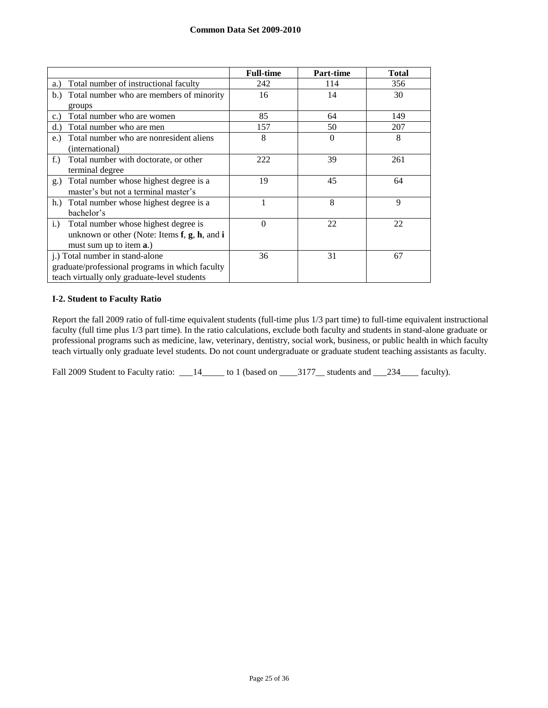|                                                         | <b>Full-time</b> | Part-time | <b>Total</b> |
|---------------------------------------------------------|------------------|-----------|--------------|
| Total number of instructional faculty<br>a.)            | 242              | 114       | 356          |
| Total number who are members of minority<br>b.)         | 16               | 14        | 30           |
| groups                                                  |                  |           |              |
| Total number who are women<br>c.)                       | 85               | 64        | 149          |
| Total number who are men<br>d.                          | 157              | 50        | 207          |
| Total number who are nonresident aliens<br>$e$ .        | 8                | $\Omega$  | 8            |
| (international)                                         |                  |           |              |
| Total number with doctorate, or other<br>$f$ .          | 222              | 39        | 261          |
| terminal degree                                         |                  |           |              |
| Total number whose highest degree is a<br>g.)           | 19               | 45        | 64           |
| master's but not a terminal master's                    |                  |           |              |
| Total number whose highest degree is a<br>h.            |                  | 8         | 9            |
| bachelor's                                              |                  |           |              |
| Total number whose highest degree is<br>$i$ .           | $\Omega$         | 22        | 22           |
| unknown or other (Note: Items $f$ , $g$ , $h$ , and $i$ |                  |           |              |
| must sum up to item a.)                                 |                  |           |              |
| j.) Total number in stand-alone                         | 36               | 31        | 67           |
| graduate/professional programs in which faculty         |                  |           |              |
| teach virtually only graduate-level students            |                  |           |              |

## **I-2. Student to Faculty Ratio**

Report the fall 2009 ratio of full-time equivalent students (full-time plus 1/3 part time) to full-time equivalent instructional faculty (full time plus 1/3 part time). In the ratio calculations, exclude both faculty and students in stand-alone graduate or professional programs such as medicine, law, veterinary, dentistry, social work, business, or public health in which faculty teach virtually only graduate level students. Do not count undergraduate or graduate student teaching assistants as faculty.

Fall 2009 Student to Faculty ratio: \_\_\_14\_\_\_\_\_ to 1 (based on \_\_\_\_3177\_\_ students and \_\_\_234\_\_\_\_ faculty).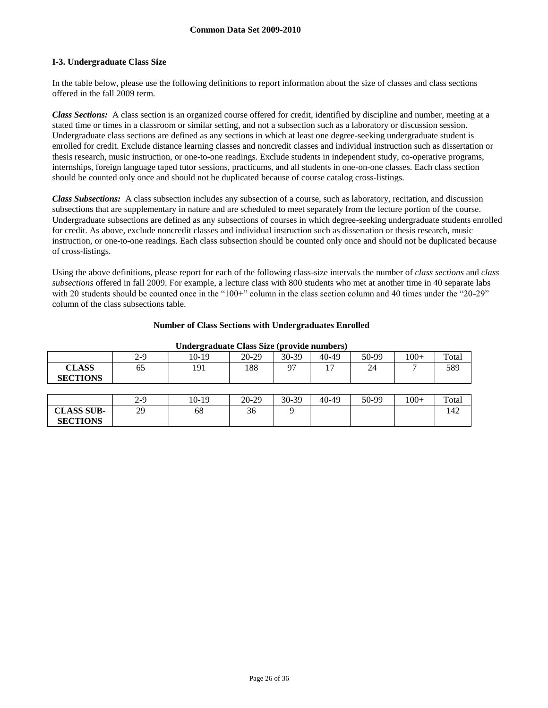### **I-3. Undergraduate Class Size**

**CLASS SUB-SECTIONS**

In the table below, please use the following definitions to report information about the size of classes and class sections offered in the fall 2009 term.

*Class Sections:* A class section is an organized course offered for credit, identified by discipline and number, meeting at a stated time or times in a classroom or similar setting, and not a subsection such as a laboratory or discussion session. Undergraduate class sections are defined as any sections in which at least one degree-seeking undergraduate student is enrolled for credit. Exclude distance learning classes and noncredit classes and individual instruction such as dissertation or thesis research, music instruction, or one-to-one readings. Exclude students in independent study, co-operative programs, internships, foreign language taped tutor sessions, practicums, and all students in one-on-one classes. Each class section should be counted only once and should not be duplicated because of course catalog cross-listings.

*Class Subsections:* A class subsection includes any subsection of a course, such as laboratory, recitation, and discussion subsections that are supplementary in nature and are scheduled to meet separately from the lecture portion of the course. Undergraduate subsections are defined as any subsections of courses in which degree-seeking undergraduate students enrolled for credit. As above, exclude noncredit classes and individual instruction such as dissertation or thesis research, music instruction, or one-to-one readings. Each class subsection should be counted only once and should not be duplicated because of cross-listings.

Using the above definitions, please report for each of the following class-size intervals the number of *class sections* and *class subsections* offered in fall 2009. For example, a lecture class with 800 students who met at another time in 40 separate labs with 20 students should be counted once in the "100+" column in the class section column and 40 times under the "20-29" column of the class subsections table.

|  |  | <b>Number of Class Sections with Undergraduates Enrolled</b> |  |
|--|--|--------------------------------------------------------------|--|
|  |  |                                                              |  |

|                                 | 2-9   | $10-19$ | $20-29$ | 30-39    | 40-49          | 50-99 | $100+$       | Total |
|---------------------------------|-------|---------|---------|----------|----------------|-------|--------------|-------|
| <b>CLASS</b><br><b>SECTIONS</b> | 65    | 191     | 188     | $\Omega$ | 1 <sub>7</sub> | 24    | $\mathbf{r}$ | 589   |
|                                 |       |         |         |          |                |       |              |       |
|                                 | $2-9$ | 10-19   | $20-29$ | 30-39    | 40-49          | 50-99 | $100+$       | Total |

29 | 68 | 36 | 9 | | | | | | | | | 142

#### **Undergraduate Class Size (provide numbers)**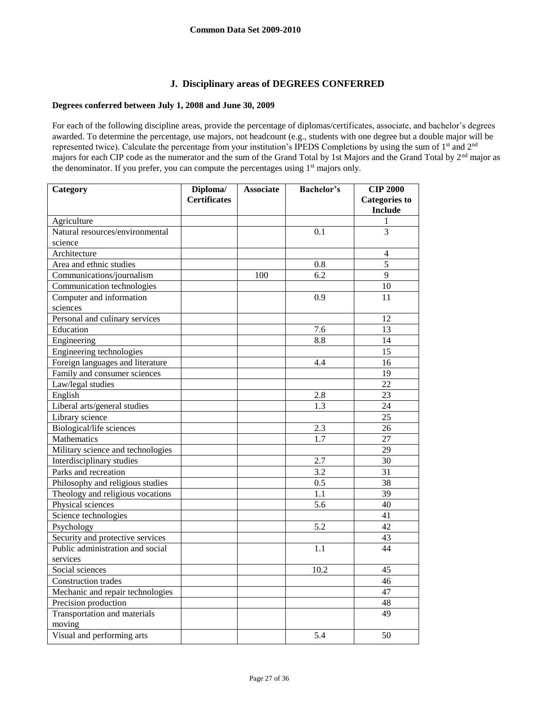## **J. Disciplinary areas of DEGREES CONFERRED**

## **Degrees conferred between July 1, 2008 and June 30, 2009**

For each of the following discipline areas, provide the percentage of diplomas/certificates, associate, and bachelor's degrees awarded. To determine the percentage, use majors, not headcount (e.g., students with one degree but a double major will be represented twice). Calculate the percentage from your institution's IPEDS Completions by using the sum of 1<sup>st</sup> and 2<sup>nd</sup> majors for each CIP code as the numerator and the sum of the Grand Total by 1st Majors and the Grand Total by 2nd major as the denominator. If you prefer, you can compute the percentages using 1<sup>st</sup> majors only.

| Category                          | Diploma/            | <b>Associate</b> | <b>Bachelor's</b> | <b>CIP 2000</b>      |
|-----------------------------------|---------------------|------------------|-------------------|----------------------|
|                                   | <b>Certificates</b> |                  |                   | <b>Categories to</b> |
|                                   |                     |                  |                   | <b>Include</b>       |
| Agriculture                       |                     |                  |                   | 1                    |
| Natural resources/environmental   |                     |                  | 0.1               | $\overline{3}$       |
| science                           |                     |                  |                   |                      |
| Architecture                      |                     |                  |                   | 4                    |
| Area and ethnic studies           |                     |                  | 0.8               | 5                    |
| Communications/journalism         |                     | 100              | $\overline{6.2}$  | $\overline{Q}$       |
| Communication technologies        |                     |                  |                   | 10                   |
| Computer and information          |                     |                  | 0.9               | 11                   |
| sciences                          |                     |                  |                   |                      |
| Personal and culinary services    |                     |                  |                   | 12                   |
| Education                         |                     |                  | 7.6               | 13                   |
| Engineering                       |                     |                  | 8.8               | 14                   |
| Engineering technologies          |                     |                  |                   | 15                   |
| Foreign languages and literature  |                     |                  | 4.4               | 16                   |
| Family and consumer sciences      |                     |                  |                   | 19                   |
| Law/legal studies                 |                     |                  |                   | $\overline{22}$      |
| English                           |                     |                  | 2.8               | 23                   |
| Liberal arts/general studies      |                     |                  | 1.3               | 24                   |
| Library science                   |                     |                  |                   | 25                   |
| Biological/life sciences          |                     |                  | 2.3               | 26                   |
| Mathematics                       |                     |                  | 1.7               | 27                   |
| Military science and technologies |                     |                  |                   | 29                   |
| Interdisciplinary studies         |                     |                  | 2.7               | $\overline{30}$      |
| Parks and recreation              |                     |                  | 3.2               | 31                   |
| Philosophy and religious studies  |                     |                  | 0.5               | 38                   |
| Theology and religious vocations  |                     |                  | 1.1               | 39                   |
| Physical sciences                 |                     |                  | 5.6               | 40                   |
| Science technologies              |                     |                  |                   | $\overline{41}$      |
| Psychology                        |                     |                  | 5.2               | 42                   |
| Security and protective services  |                     |                  |                   | 43                   |
| Public administration and social  |                     |                  | 1.1               | 44                   |
| services                          |                     |                  |                   |                      |
| Social sciences                   |                     |                  | 10.2              | 45                   |
| Construction trades               |                     |                  |                   | 46                   |
| Mechanic and repair technologies  |                     |                  |                   | 47                   |
| Precision production              |                     |                  |                   | 48                   |
| Transportation and materials      |                     |                  |                   | 49                   |
| moving                            |                     |                  |                   |                      |
| Visual and performing arts        |                     |                  | 5.4               | 50                   |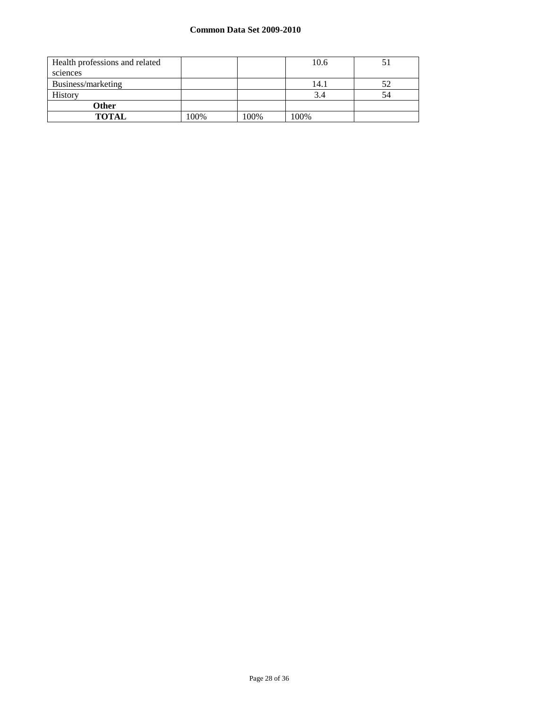## **Common Data Set 2009-2010**

| Health professions and related |      |      | 10.6 |    |
|--------------------------------|------|------|------|----|
| sciences                       |      |      |      |    |
| Business/marketing             |      |      | 14.1 | 52 |
| <b>History</b>                 |      |      | 3.4  | 54 |
| <b>Other</b>                   |      |      |      |    |
| <b>TOTAL</b>                   | 100% | 100% | 100% |    |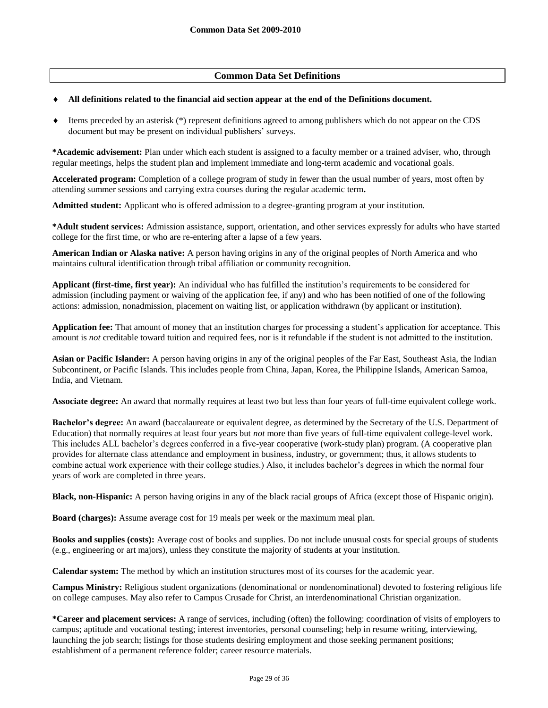## **Common Data Set Definitions**

#### **All definitions related to the financial aid section appear at the end of the Definitions document.**

 $\bullet$  Items preceded by an asterisk (\*) represent definitions agreed to among publishers which do not appear on the CDS document but may be present on individual publishers' surveys.

**\*Academic advisement:** Plan under which each student is assigned to a faculty member or a trained adviser, who, through regular meetings, helps the student plan and implement immediate and long-term academic and vocational goals.

**Accelerated program:** Completion of a college program of study in fewer than the usual number of years, most often by attending summer sessions and carrying extra courses during the regular academic term**.**

**Admitted student:** Applicant who is offered admission to a degree-granting program at your institution.

**\*Adult student services:** Admission assistance, support, orientation, and other services expressly for adults who have started college for the first time, or who are re-entering after a lapse of a few years.

**American Indian or Alaska native:** A person having origins in any of the original peoples of North America and who maintains cultural identification through tribal affiliation or community recognition.

**Applicant (first-time, first year):** An individual who has fulfilled the institution's requirements to be considered for admission (including payment or waiving of the application fee, if any) and who has been notified of one of the following actions: admission, nonadmission, placement on waiting list, or application withdrawn (by applicant or institution).

**Application fee:** That amount of money that an institution charges for processing a student's application for acceptance. This amount is *not* creditable toward tuition and required fees, nor is it refundable if the student is not admitted to the institution.

**Asian or Pacific Islander:** A person having origins in any of the original peoples of the Far East, Southeast Asia, the Indian Subcontinent, or Pacific Islands. This includes people from China, Japan, Korea, the Philippine Islands, American Samoa, India, and Vietnam.

**Associate degree:** An award that normally requires at least two but less than four years of full-time equivalent college work.

**Bachelor's degree:** An award (baccalaureate or equivalent degree, as determined by the Secretary of the U.S. Department of Education) that normally requires at least four years but *not* more than five years of full-time equivalent college-level work. This includes ALL bachelor's degrees conferred in a five-year cooperative (work-study plan) program. (A cooperative plan provides for alternate class attendance and employment in business, industry, or government; thus, it allows students to combine actual work experience with their college studies.) Also, it includes bachelor's degrees in which the normal four years of work are completed in three years.

**Black, non-Hispanic:** A person having origins in any of the black racial groups of Africa (except those of Hispanic origin).

**Board (charges):** Assume average cost for 19 meals per week or the maximum meal plan.

**Books and supplies (costs):** Average cost of books and supplies. Do not include unusual costs for special groups of students (e.g., engineering or art majors), unless they constitute the majority of students at your institution.

**Calendar system:** The method by which an institution structures most of its courses for the academic year.

**Campus Ministry:** Religious student organizations (denominational or nondenominational) devoted to fostering religious life on college campuses. May also refer to Campus Crusade for Christ, an interdenominational Christian organization.

**\*Career and placement services:** A range of services, including (often) the following: coordination of visits of employers to campus; aptitude and vocational testing; interest inventories, personal counseling; help in resume writing, interviewing, launching the job search; listings for those students desiring employment and those seeking permanent positions; establishment of a permanent reference folder; career resource materials.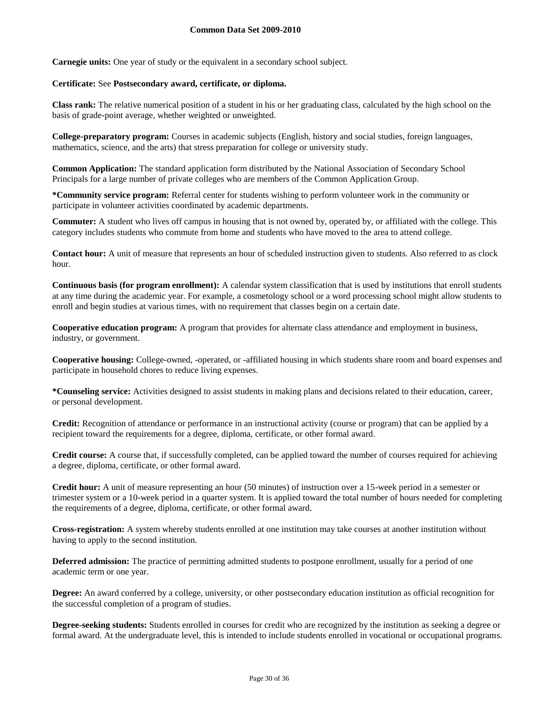**Carnegie units:** One year of study or the equivalent in a secondary school subject.

#### **Certificate:** See **Postsecondary award, certificate, or diploma.**

**Class rank:** The relative numerical position of a student in his or her graduating class, calculated by the high school on the basis of grade-point average, whether weighted or unweighted.

**College-preparatory program:** Courses in academic subjects (English, history and social studies, foreign languages, mathematics, science, and the arts) that stress preparation for college or university study.

**Common Application:** The standard application form distributed by the National Association of Secondary School Principals for a large number of private colleges who are members of the Common Application Group.

**\*Community service program:** Referral center for students wishing to perform volunteer work in the community or participate in volunteer activities coordinated by academic departments.

**Commuter:** A student who lives off campus in housing that is not owned by, operated by, or affiliated with the college. This category includes students who commute from home and students who have moved to the area to attend college.

**Contact hour:** A unit of measure that represents an hour of scheduled instruction given to students. Also referred to as clock hour.

**Continuous basis (for program enrollment):** A calendar system classification that is used by institutions that enroll students at any time during the academic year. For example, a cosmetology school or a word processing school might allow students to enroll and begin studies at various times, with no requirement that classes begin on a certain date.

**Cooperative education program:** A program that provides for alternate class attendance and employment in business, industry, or government.

**Cooperative housing:** College-owned, -operated, or -affiliated housing in which students share room and board expenses and participate in household chores to reduce living expenses.

**\*Counseling service:** Activities designed to assist students in making plans and decisions related to their education, career, or personal development.

**Credit:** Recognition of attendance or performance in an instructional activity (course or program) that can be applied by a recipient toward the requirements for a degree, diploma, certificate, or other formal award.

**Credit course:** A course that, if successfully completed, can be applied toward the number of courses required for achieving a degree, diploma, certificate, or other formal award.

**Credit hour:** A unit of measure representing an hour (50 minutes) of instruction over a 15-week period in a semester or trimester system or a 10-week period in a quarter system. It is applied toward the total number of hours needed for completing the requirements of a degree, diploma, certificate, or other formal award.

**Cross-registration:** A system whereby students enrolled at one institution may take courses at another institution without having to apply to the second institution.

**Deferred admission:** The practice of permitting admitted students to postpone enrollment, usually for a period of one academic term or one year.

**Degree:** An award conferred by a college, university, or other postsecondary education institution as official recognition for the successful completion of a program of studies.

**Degree-seeking students:** Students enrolled in courses for credit who are recognized by the institution as seeking a degree or formal award. At the undergraduate level, this is intended to include students enrolled in vocational or occupational programs.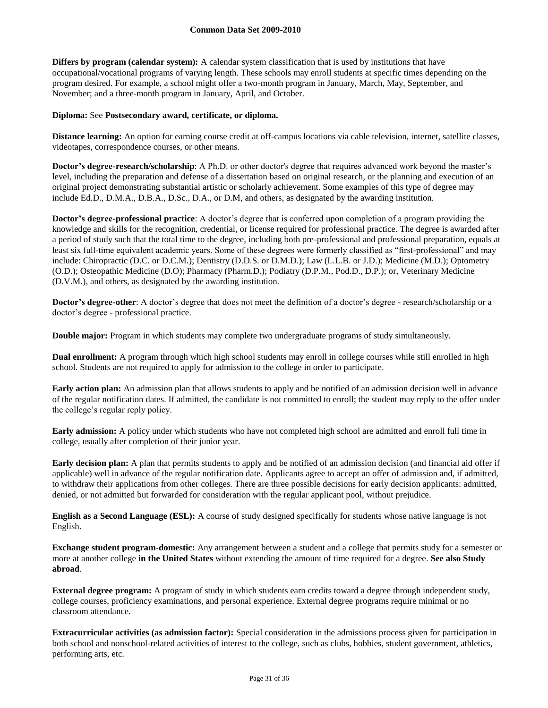**Differs by program (calendar system):** A calendar system classification that is used by institutions that have occupational/vocational programs of varying length. These schools may enroll students at specific times depending on the program desired. For example, a school might offer a two-month program in January, March, May, September, and November; and a three-month program in January, April, and October.

#### **Diploma:** See **Postsecondary award, certificate, or diploma.**

**Distance learning:** An option for earning course credit at off-campus locations via cable television, internet, satellite classes, videotapes, correspondence courses, or other means.

**Doctor's degree-research/scholarship**: A Ph.D. or other doctor's degree that requires advanced work beyond the master's level, including the preparation and defense of a dissertation based on original research, or the planning and execution of an original project demonstrating substantial artistic or scholarly achievement. Some examples of this type of degree may include Ed.D., D.M.A., D.B.A., D.Sc., D.A., or D.M, and others, as designated by the awarding institution.

**Doctor's degree-professional practice**: A doctor's degree that is conferred upon completion of a program providing the knowledge and skills for the recognition, credential, or license required for professional practice. The degree is awarded after a period of study such that the total time to the degree, including both pre-professional and professional preparation, equals at least six full-time equivalent academic years. Some of these degrees were formerly classified as "first-professional" and may include: Chiropractic (D.C. or D.C.M.); Dentistry (D.D.S. or D.M.D.); Law (L.L.B. or J.D.); Medicine (M.D.); Optometry (O.D.); Osteopathic Medicine (D.O); Pharmacy (Pharm.D.); Podiatry (D.P.M., Pod.D., D.P.); or, Veterinary Medicine (D.V.M.), and others, as designated by the awarding institution.

**Doctor's degree-other:** A doctor's degree that does not meet the definition of a doctor's degree - research/scholarship or a doctor's degree - professional practice.

**Double major:** Program in which students may complete two undergraduate programs of study simultaneously.

**Dual enrollment:** A program through which high school students may enroll in college courses while still enrolled in high school. Students are not required to apply for admission to the college in order to participate.

**Early action plan:** An admission plan that allows students to apply and be notified of an admission decision well in advance of the regular notification dates. If admitted, the candidate is not committed to enroll; the student may reply to the offer under the college's regular reply policy.

**Early admission:** A policy under which students who have not completed high school are admitted and enroll full time in college, usually after completion of their junior year.

**Early decision plan:** A plan that permits students to apply and be notified of an admission decision (and financial aid offer if applicable) well in advance of the regular notification date. Applicants agree to accept an offer of admission and, if admitted, to withdraw their applications from other colleges. There are three possible decisions for early decision applicants: admitted, denied, or not admitted but forwarded for consideration with the regular applicant pool, without prejudice.

**English as a Second Language (ESL):** A course of study designed specifically for students whose native language is not English.

**Exchange student program-domestic:** Any arrangement between a student and a college that permits study for a semester or more at another college **in the United States** without extending the amount of time required for a degree. **See also Study abroad**.

**External degree program:** A program of study in which students earn credits toward a degree through independent study, college courses, proficiency examinations, and personal experience. External degree programs require minimal or no classroom attendance.

**Extracurricular activities (as admission factor):** Special consideration in the admissions process given for participation in both school and nonschool-related activities of interest to the college, such as clubs, hobbies, student government, athletics, performing arts, etc.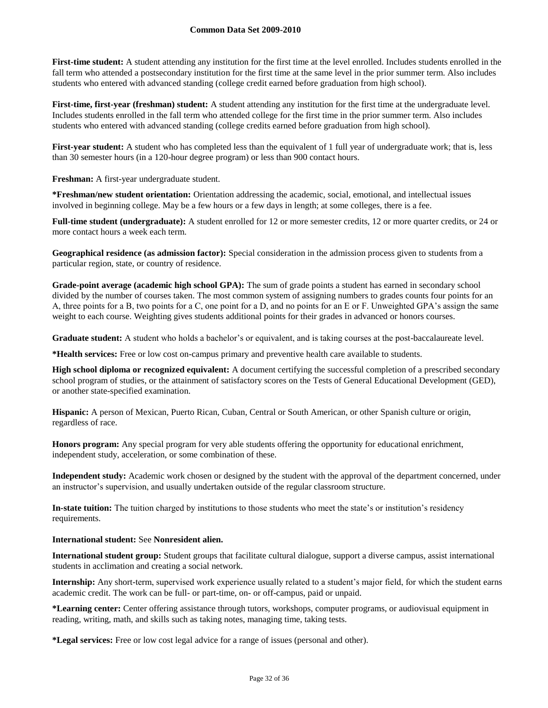### **Common Data Set 2009-2010**

First-time student: A student attending any institution for the first time at the level enrolled. Includes students enrolled in the fall term who attended a postsecondary institution for the first time at the same level in the prior summer term. Also includes students who entered with advanced standing (college credit earned before graduation from high school).

**First-time, first-year (freshman) student:** A student attending any institution for the first time at the undergraduate level. Includes students enrolled in the fall term who attended college for the first time in the prior summer term. Also includes students who entered with advanced standing (college credits earned before graduation from high school).

First-year student: A student who has completed less than the equivalent of 1 full year of undergraduate work; that is, less than 30 semester hours (in a 120-hour degree program) or less than 900 contact hours.

**Freshman:** A first-year undergraduate student.

**\*Freshman/new student orientation:** Orientation addressing the academic, social, emotional, and intellectual issues involved in beginning college. May be a few hours or a few days in length; at some colleges, there is a fee.

**Full-time student (undergraduate):** A student enrolled for 12 or more semester credits, 12 or more quarter credits, or 24 or more contact hours a week each term.

**Geographical residence (as admission factor):** Special consideration in the admission process given to students from a particular region, state, or country of residence.

**Grade-point average (academic high school GPA):** The sum of grade points a student has earned in secondary school divided by the number of courses taken. The most common system of assigning numbers to grades counts four points for an A, three points for a B, two points for a C, one point for a D, and no points for an E or F. Unweighted GPA's assign the same weight to each course. Weighting gives students additional points for their grades in advanced or honors courses.

**Graduate student:** A student who holds a bachelor's or equivalent, and is taking courses at the post-baccalaureate level.

**\*Health services:** Free or low cost on-campus primary and preventive health care available to students.

**High school diploma or recognized equivalent:** A document certifying the successful completion of a prescribed secondary school program of studies, or the attainment of satisfactory scores on the Tests of General Educational Development (GED), or another state-specified examination.

**Hispanic:** A person of Mexican, Puerto Rican, Cuban, Central or South American, or other Spanish culture or origin, regardless of race.

**Honors program:** Any special program for very able students offering the opportunity for educational enrichment, independent study, acceleration, or some combination of these.

**Independent study:** Academic work chosen or designed by the student with the approval of the department concerned, under an instructor's supervision, and usually undertaken outside of the regular classroom structure.

**In-state tuition:** The tuition charged by institutions to those students who meet the state's or institution's residency requirements.

#### **International student:** See **Nonresident alien.**

**International student group:** Student groups that facilitate cultural dialogue, support a diverse campus, assist international students in acclimation and creating a social network.

**Internship:** Any short-term, supervised work experience usually related to a student's major field, for which the student earns academic credit. The work can be full- or part-time, on- or off-campus, paid or unpaid.

**\*Learning center:** Center offering assistance through tutors, workshops, computer programs, or audiovisual equipment in reading, writing, math, and skills such as taking notes, managing time, taking tests.

**\*Legal services:** Free or low cost legal advice for a range of issues (personal and other).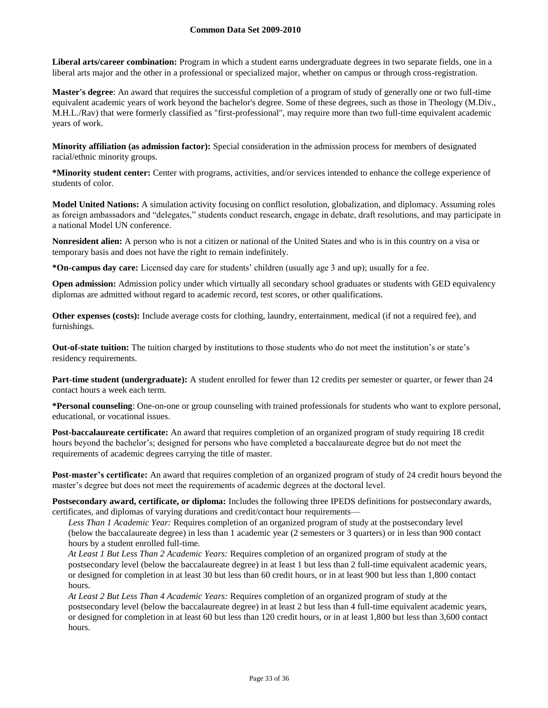### **Common Data Set 2009-2010**

**Liberal arts/career combination:** Program in which a student earns undergraduate degrees in two separate fields, one in a liberal arts major and the other in a professional or specialized major, whether on campus or through cross-registration.

**Master's degree**: An award that requires the successful completion of a program of study of generally one or two full-time equivalent academic years of work beyond the bachelor's degree. Some of these degrees, such as those in Theology (M.Div., M.H.L./Rav) that were formerly classified as "first-professional", may require more than two full-time equivalent academic years of work.

**Minority affiliation (as admission factor):** Special consideration in the admission process for members of designated racial/ethnic minority groups.

**\*Minority student center:** Center with programs, activities, and/or services intended to enhance the college experience of students of color.

**Model United Nations:** A simulation activity focusing on conflict resolution, globalization, and diplomacy. Assuming roles as foreign ambassadors and "delegates," students conduct research, engage in debate, draft resolutions, and may participate in a national Model UN conference.

**Nonresident alien:** A person who is not a citizen or national of the United States and who is in this country on a visa or temporary basis and does not have the right to remain indefinitely.

**\*On-campus day care:** Licensed day care for students' children (usually age 3 and up); usually for a fee.

**Open admission:** Admission policy under which virtually all secondary school graduates or students with GED equivalency diplomas are admitted without regard to academic record, test scores, or other qualifications.

**Other expenses (costs):** Include average costs for clothing, laundry, entertainment, medical (if not a required fee), and furnishings.

**Out-of-state tuition:** The tuition charged by institutions to those students who do not meet the institution's or state's residency requirements.

**Part-time student (undergraduate):** A student enrolled for fewer than 12 credits per semester or quarter, or fewer than 24 contact hours a week each term.

**\*Personal counseling**: One-on-one or group counseling with trained professionals for students who want to explore personal, educational, or vocational issues.

**Post-baccalaureate certificate:** An award that requires completion of an organized program of study requiring 18 credit hours beyond the bachelor's; designed for persons who have completed a baccalaureate degree but do not meet the requirements of academic degrees carrying the title of master.

**Post-master's certificate:** An award that requires completion of an organized program of study of 24 credit hours beyond the master's degree but does not meet the requirements of academic degrees at the doctoral level.

**Postsecondary award, certificate, or diploma:** Includes the following three IPEDS definitions for postsecondary awards, certificates, and diplomas of varying durations and credit/contact hour requirements—

*Less Than 1 Academic Year:* Requires completion of an organized program of study at the postsecondary level (below the baccalaureate degree) in less than 1 academic year (2 semesters or 3 quarters) or in less than 900 contact hours by a student enrolled full-time.

*At Least 1 But Less Than 2 Academic Years:* Requires completion of an organized program of study at the postsecondary level (below the baccalaureate degree) in at least 1 but less than 2 full-time equivalent academic years, or designed for completion in at least 30 but less than 60 credit hours, or in at least 900 but less than 1,800 contact hours.

*At Least 2 But Less Than 4 Academic Years:* Requires completion of an organized program of study at the postsecondary level (below the baccalaureate degree) in at least 2 but less than 4 full-time equivalent academic years, or designed for completion in at least 60 but less than 120 credit hours, or in at least 1,800 but less than 3,600 contact hours.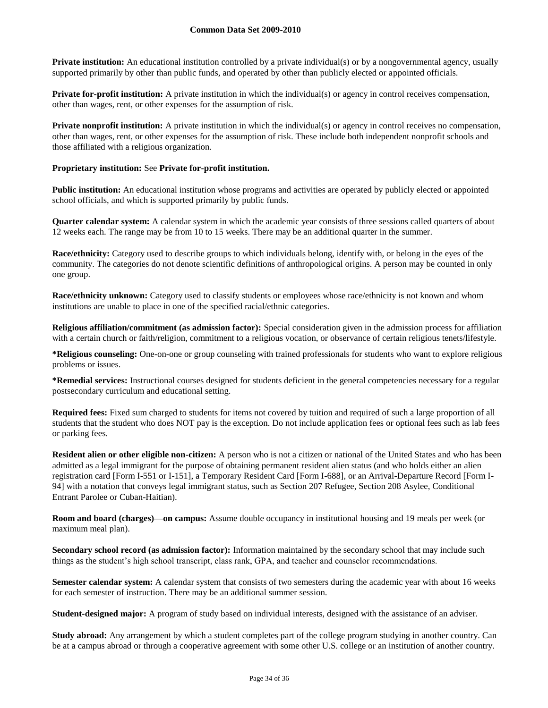**Private institution:** An educational institution controlled by a private individual(s) or by a nongovernmental agency, usually supported primarily by other than public funds, and operated by other than publicly elected or appointed officials.

**Private for-profit institution:** A private institution in which the individual(s) or agency in control receives compensation, other than wages, rent, or other expenses for the assumption of risk.

**Private nonprofit institution:** A private institution in which the individual(s) or agency in control receives no compensation, other than wages, rent, or other expenses for the assumption of risk. These include both independent nonprofit schools and those affiliated with a religious organization.

#### **Proprietary institution:** See **Private for-profit institution.**

**Public institution:** An educational institution whose programs and activities are operated by publicly elected or appointed school officials, and which is supported primarily by public funds.

**Quarter calendar system:** A calendar system in which the academic year consists of three sessions called quarters of about 12 weeks each. The range may be from 10 to 15 weeks. There may be an additional quarter in the summer.

**Race/ethnicity:** Category used to describe groups to which individuals belong, identify with, or belong in the eyes of the community. The categories do not denote scientific definitions of anthropological origins. A person may be counted in only one group.

**Race/ethnicity unknown:** Category used to classify students or employees whose race/ethnicity is not known and whom institutions are unable to place in one of the specified racial/ethnic categories.

**Religious affiliation/commitment (as admission factor):** Special consideration given in the admission process for affiliation with a certain church or faith/religion, commitment to a religious vocation, or observance of certain religious tenets/lifestyle.

**\*Religious counseling:** One-on-one or group counseling with trained professionals for students who want to explore religious problems or issues.

**\*Remedial services:** Instructional courses designed for students deficient in the general competencies necessary for a regular postsecondary curriculum and educational setting.

**Required fees:** Fixed sum charged to students for items not covered by tuition and required of such a large proportion of all students that the student who does NOT pay is the exception. Do not include application fees or optional fees such as lab fees or parking fees.

**Resident alien or other eligible non-citizen:** A person who is not a citizen or national of the United States and who has been admitted as a legal immigrant for the purpose of obtaining permanent resident alien status (and who holds either an alien registration card [Form I-551 or I-151], a Temporary Resident Card [Form I-688], or an Arrival-Departure Record [Form I-94] with a notation that conveys legal immigrant status, such as Section 207 Refugee, Section 208 Asylee, Conditional Entrant Parolee or Cuban-Haitian).

**Room and board (charges)—on campus:** Assume double occupancy in institutional housing and 19 meals per week (or maximum meal plan).

**Secondary school record (as admission factor):** Information maintained by the secondary school that may include such things as the student's high school transcript, class rank, GPA, and teacher and counselor recommendations.

**Semester calendar system:** A calendar system that consists of two semesters during the academic year with about 16 weeks for each semester of instruction. There may be an additional summer session.

**Student-designed major:** A program of study based on individual interests, designed with the assistance of an adviser.

**Study abroad:** Any arrangement by which a student completes part of the college program studying in another country. Can be at a campus abroad or through a cooperative agreement with some other U.S. college or an institution of another country.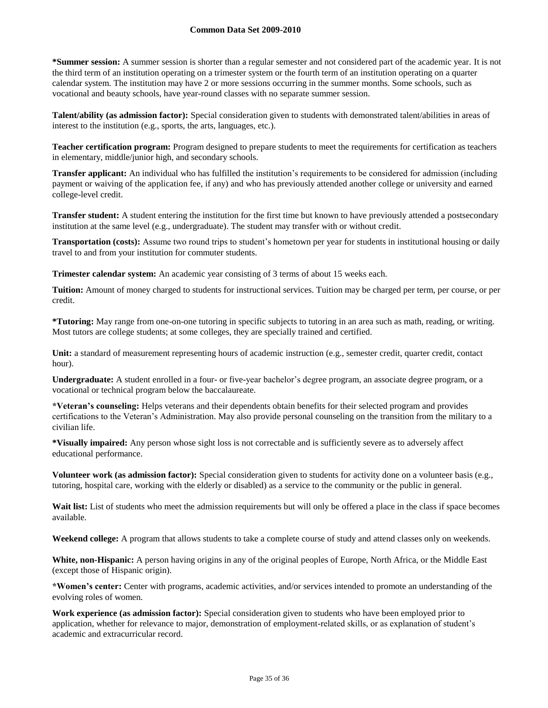### **Common Data Set 2009-2010**

**\*Summer session:** A summer session is shorter than a regular semester and not considered part of the academic year. It is not the third term of an institution operating on a trimester system or the fourth term of an institution operating on a quarter calendar system. The institution may have 2 or more sessions occurring in the summer months. Some schools, such as vocational and beauty schools, have year-round classes with no separate summer session.

**Talent/ability (as admission factor):** Special consideration given to students with demonstrated talent/abilities in areas of interest to the institution (e.g., sports, the arts, languages, etc.).

**Teacher certification program:** Program designed to prepare students to meet the requirements for certification as teachers in elementary, middle/junior high, and secondary schools.

**Transfer applicant:** An individual who has fulfilled the institution's requirements to be considered for admission (including payment or waiving of the application fee, if any) and who has previously attended another college or university and earned college-level credit.

**Transfer student:** A student entering the institution for the first time but known to have previously attended a postsecondary institution at the same level (e.g., undergraduate). The student may transfer with or without credit.

**Transportation (costs):** Assume two round trips to student's hometown per year for students in institutional housing or daily travel to and from your institution for commuter students.

**Trimester calendar system:** An academic year consisting of 3 terms of about 15 weeks each.

**Tuition:** Amount of money charged to students for instructional services. Tuition may be charged per term, per course, or per credit.

**\*Tutoring:** May range from one-on-one tutoring in specific subjects to tutoring in an area such as math, reading, or writing. Most tutors are college students; at some colleges, they are specially trained and certified.

Unit: a standard of measurement representing hours of academic instruction (e.g., semester credit, quarter credit, contact hour).

**Undergraduate:** A student enrolled in a four- or five-year bachelor's degree program, an associate degree program, or a vocational or technical program below the baccalaureate.

**\*Veteran's counseling:** Helps veterans and their dependents obtain benefits for their selected program and provides certifications to the Veteran's Administration. May also provide personal counseling on the transition from the military to a civilian life.

**\*Visually impaired:** Any person whose sight loss is not correctable and is sufficiently severe as to adversely affect educational performance.

**Volunteer work (as admission factor):** Special consideration given to students for activity done on a volunteer basis (e.g., tutoring, hospital care, working with the elderly or disabled) as a service to the community or the public in general.

Wait list: List of students who meet the admission requirements but will only be offered a place in the class if space becomes available.

**Weekend college:** A program that allows students to take a complete course of study and attend classes only on weekends.

**White, non-Hispanic:** A person having origins in any of the original peoples of Europe, North Africa, or the Middle East (except those of Hispanic origin).

**\*Women's center:** Center with programs, academic activities, and/or services intended to promote an understanding of the evolving roles of women.

**Work experience (as admission factor):** Special consideration given to students who have been employed prior to application, whether for relevance to major, demonstration of employment-related skills, or as explanation of student's academic and extracurricular record.